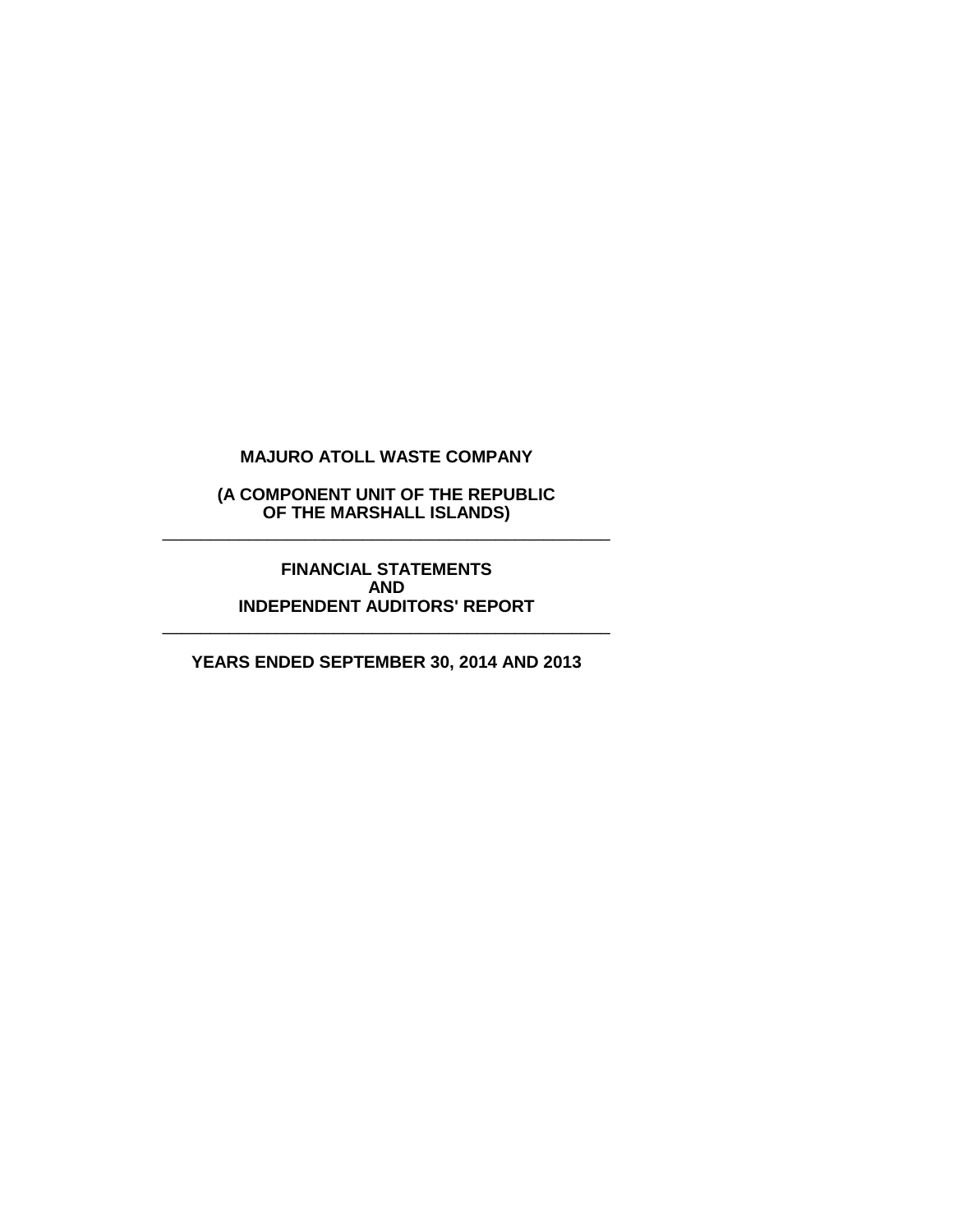**(A COMPONENT UNIT OF THE REPUBLIC OF THE MARSHALL ISLANDS)** \_\_\_\_\_\_\_\_\_\_\_\_\_\_\_\_\_\_\_\_\_\_\_\_\_\_\_\_\_\_\_\_\_\_\_\_\_\_\_\_\_\_\_\_\_\_\_

> **FINANCIAL STATEMENTS AND INDEPENDENT AUDITORS' REPORT**

\_\_\_\_\_\_\_\_\_\_\_\_\_\_\_\_\_\_\_\_\_\_\_\_\_\_\_\_\_\_\_\_\_\_\_\_\_\_\_\_\_\_\_\_\_\_\_

**YEARS ENDED SEPTEMBER 30, 2014 AND 2013**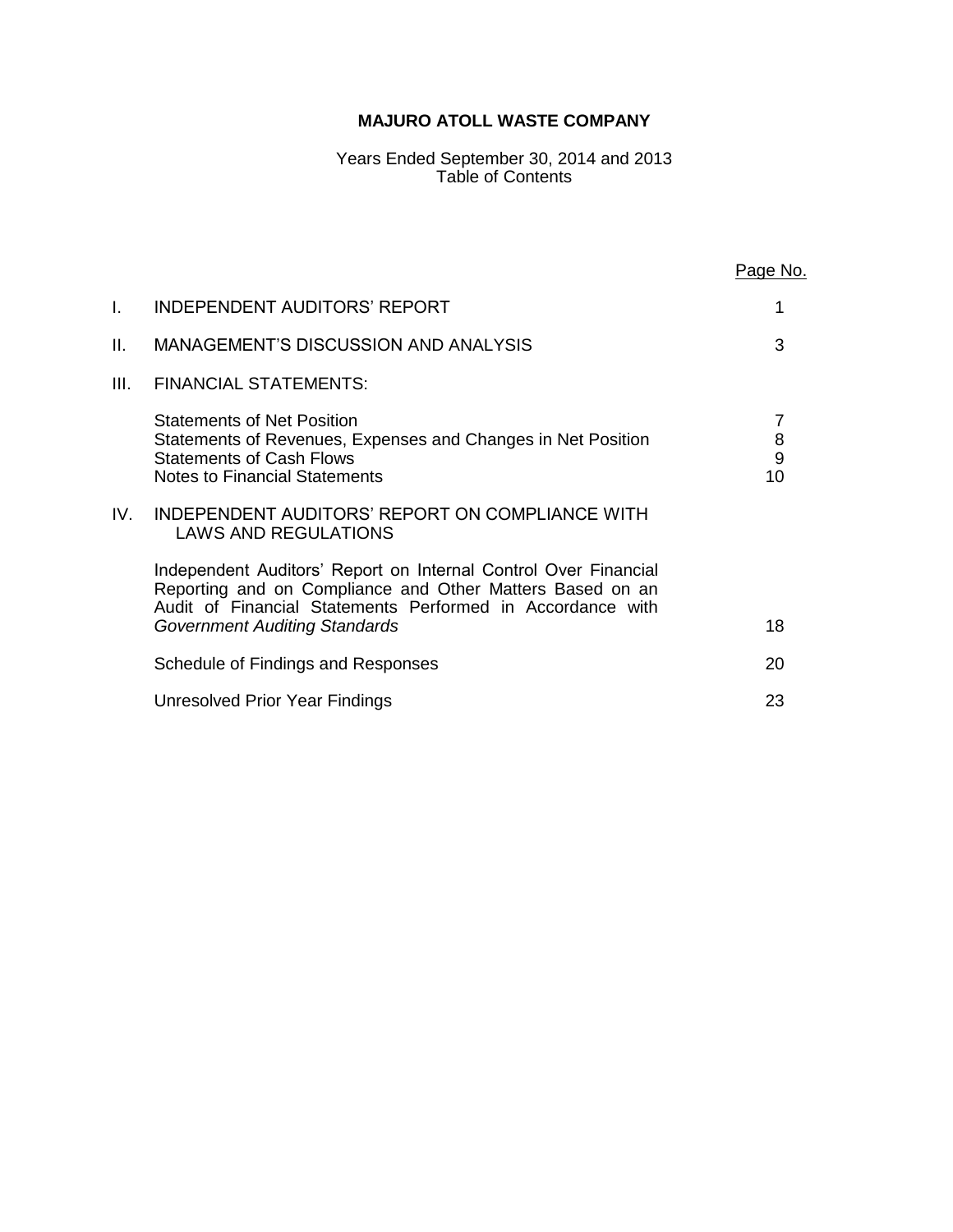Years Ended September 30, 2014 and 2013 Table of Contents

|     |                                                                                                                                                                                                                                    | <u>Page No.</u>   |
|-----|------------------------------------------------------------------------------------------------------------------------------------------------------------------------------------------------------------------------------------|-------------------|
| I.  | <b>INDEPENDENT AUDITORS' REPORT</b>                                                                                                                                                                                                |                   |
| II. | <b>MANAGEMENT'S DISCUSSION AND ANALYSIS</b>                                                                                                                                                                                        | 3                 |
| Ш.  | <b>FINANCIAL STATEMENTS:</b>                                                                                                                                                                                                       |                   |
|     | <b>Statements of Net Position</b><br>Statements of Revenues, Expenses and Changes in Net Position<br><b>Statements of Cash Flows</b><br><b>Notes to Financial Statements</b>                                                       | 7<br>8<br>9<br>10 |
| IV. | INDEPENDENT AUDITORS' REPORT ON COMPLIANCE WITH<br><b>LAWS AND REGULATIONS</b>                                                                                                                                                     |                   |
|     | Independent Auditors' Report on Internal Control Over Financial<br>Reporting and on Compliance and Other Matters Based on an<br>Audit of Financial Statements Performed in Accordance with<br><b>Government Auditing Standards</b> | 18                |
|     | Schedule of Findings and Responses                                                                                                                                                                                                 | 20                |
|     | Unresolved Prior Year Findings                                                                                                                                                                                                     | 23                |
|     |                                                                                                                                                                                                                                    |                   |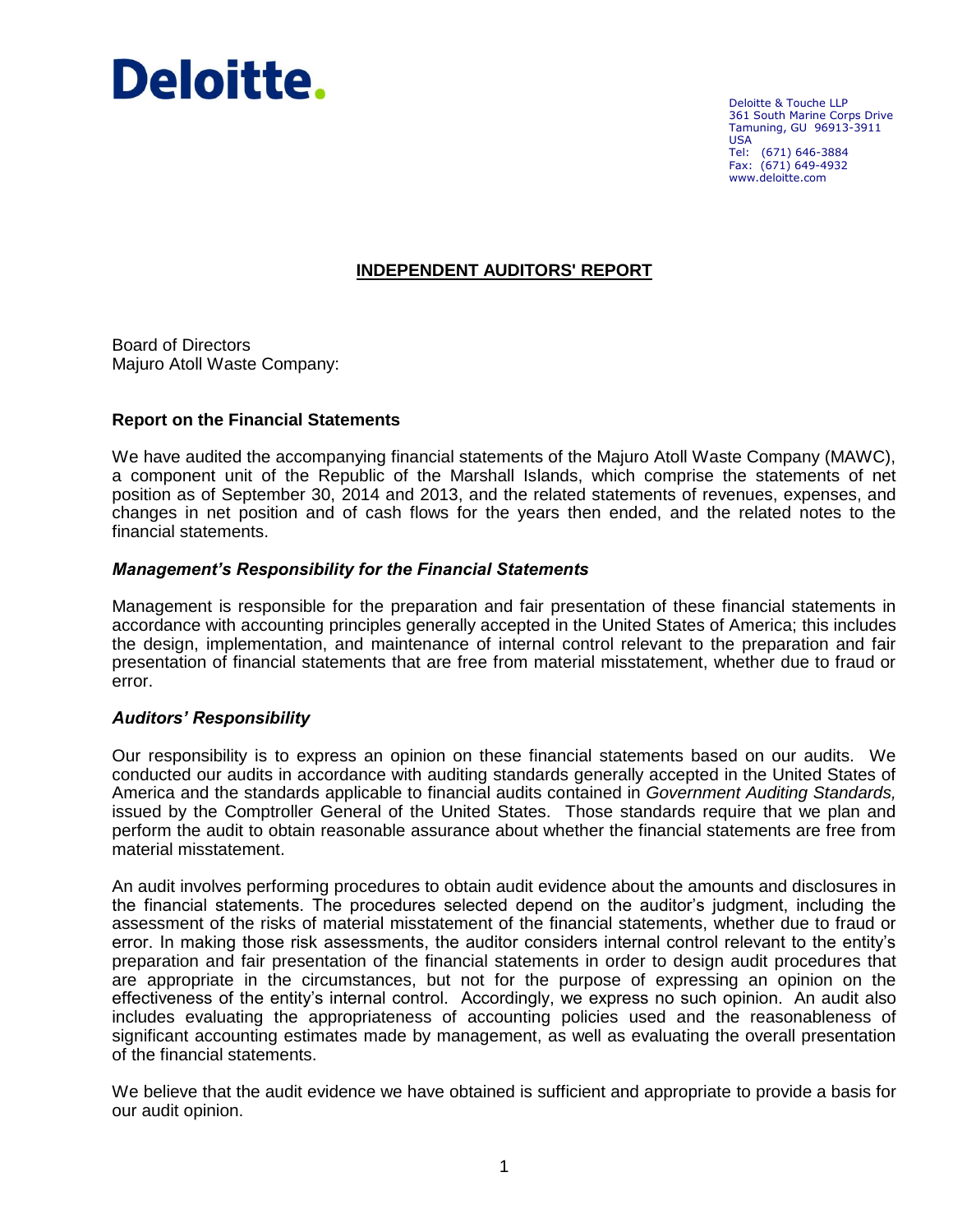

Deloitte & Touche LLP 361 South Marine Corps Drive Tamuning, GU 96913-3911 USA Tel: (671) 646-3884 Fax: (671) 649-4932 www.deloitte.com

# **INDEPENDENT AUDITORS' REPORT**

Board of Directors Majuro Atoll Waste Company:

## **Report on the Financial Statements**

We have audited the accompanying financial statements of the Majuro Atoll Waste Company (MAWC), a component unit of the Republic of the Marshall Islands, which comprise the statements of net position as of September 30, 2014 and 2013, and the related statements of revenues, expenses, and changes in net position and of cash flows for the years then ended, and the related notes to the financial statements.

## *Management's Responsibility for the Financial Statements*

Management is responsible for the preparation and fair presentation of these financial statements in accordance with accounting principles generally accepted in the United States of America; this includes the design, implementation, and maintenance of internal control relevant to the preparation and fair presentation of financial statements that are free from material misstatement, whether due to fraud or error.

#### *Auditors' Responsibility*

Our responsibility is to express an opinion on these financial statements based on our audits. We conducted our audits in accordance with auditing standards generally accepted in the United States of America and the standards applicable to financial audits contained in *Government Auditing Standards,* issued by the Comptroller General of the United States. Those standards require that we plan and perform the audit to obtain reasonable assurance about whether the financial statements are free from material misstatement.

An audit involves performing procedures to obtain audit evidence about the amounts and disclosures in the financial statements. The procedures selected depend on the auditor's judgment, including the assessment of the risks of material misstatement of the financial statements, whether due to fraud or error. In making those risk assessments, the auditor considers internal control relevant to the entity's preparation and fair presentation of the financial statements in order to design audit procedures that are appropriate in the circumstances, but not for the purpose of expressing an opinion on the effectiveness of the entity's internal control. Accordingly, we express no such opinion. An audit also includes evaluating the appropriateness of accounting policies used and the reasonableness of significant accounting estimates made by management, as well as evaluating the overall presentation of the financial statements.

We believe that the audit evidence we have obtained is sufficient and appropriate to provide a basis for our audit opinion.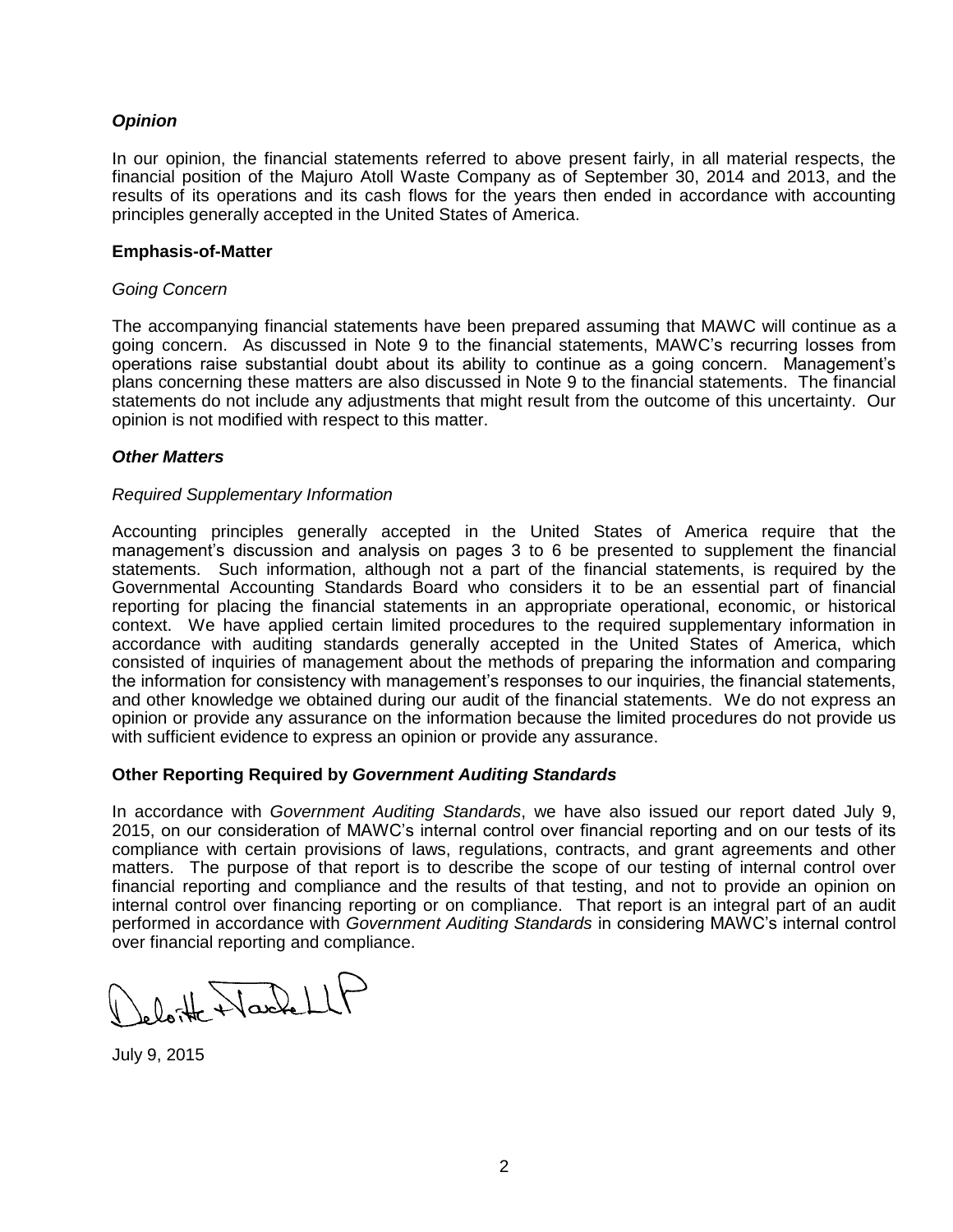# *Opinion*

In our opinion, the financial statements referred to above present fairly, in all material respects, the financial position of the Majuro Atoll Waste Company as of September 30, 2014 and 2013, and the results of its operations and its cash flows for the years then ended in accordance with accounting principles generally accepted in the United States of America.

#### **Emphasis-of-Matter**

#### *Going Concern*

The accompanying financial statements have been prepared assuming that MAWC will continue as a going concern. As discussed in Note 9 to the financial statements, MAWC's recurring losses from operations raise substantial doubt about its ability to continue as a going concern. Management's plans concerning these matters are also discussed in Note 9 to the financial statements. The financial statements do not include any adjustments that might result from the outcome of this uncertainty. Our opinion is not modified with respect to this matter.

## *Other Matters*

#### *Required Supplementary Information*

Accounting principles generally accepted in the United States of America require that the management's discussion and analysis on pages 3 to 6 be presented to supplement the financial statements. Such information, although not a part of the financial statements, is required by the Governmental Accounting Standards Board who considers it to be an essential part of financial reporting for placing the financial statements in an appropriate operational, economic, or historical context. We have applied certain limited procedures to the required supplementary information in accordance with auditing standards generally accepted in the United States of America, which consisted of inquiries of management about the methods of preparing the information and comparing the information for consistency with management's responses to our inquiries, the financial statements, and other knowledge we obtained during our audit of the financial statements. We do not express an opinion or provide any assurance on the information because the limited procedures do not provide us with sufficient evidence to express an opinion or provide any assurance.

## **Other Reporting Required by** *Government Auditing Standards*

In accordance with *Government Auditing Standards*, we have also issued our report dated July 9, 2015, on our consideration of MAWC's internal control over financial reporting and on our tests of its compliance with certain provisions of laws, regulations, contracts, and grant agreements and other matters. The purpose of that report is to describe the scope of our testing of internal control over financial reporting and compliance and the results of that testing, and not to provide an opinion on internal control over financing reporting or on compliance. That report is an integral part of an audit performed in accordance with *Government Auditing Standards* in considering MAWC's internal control over financial reporting and compliance.

leloite Nache LLF

July 9, 2015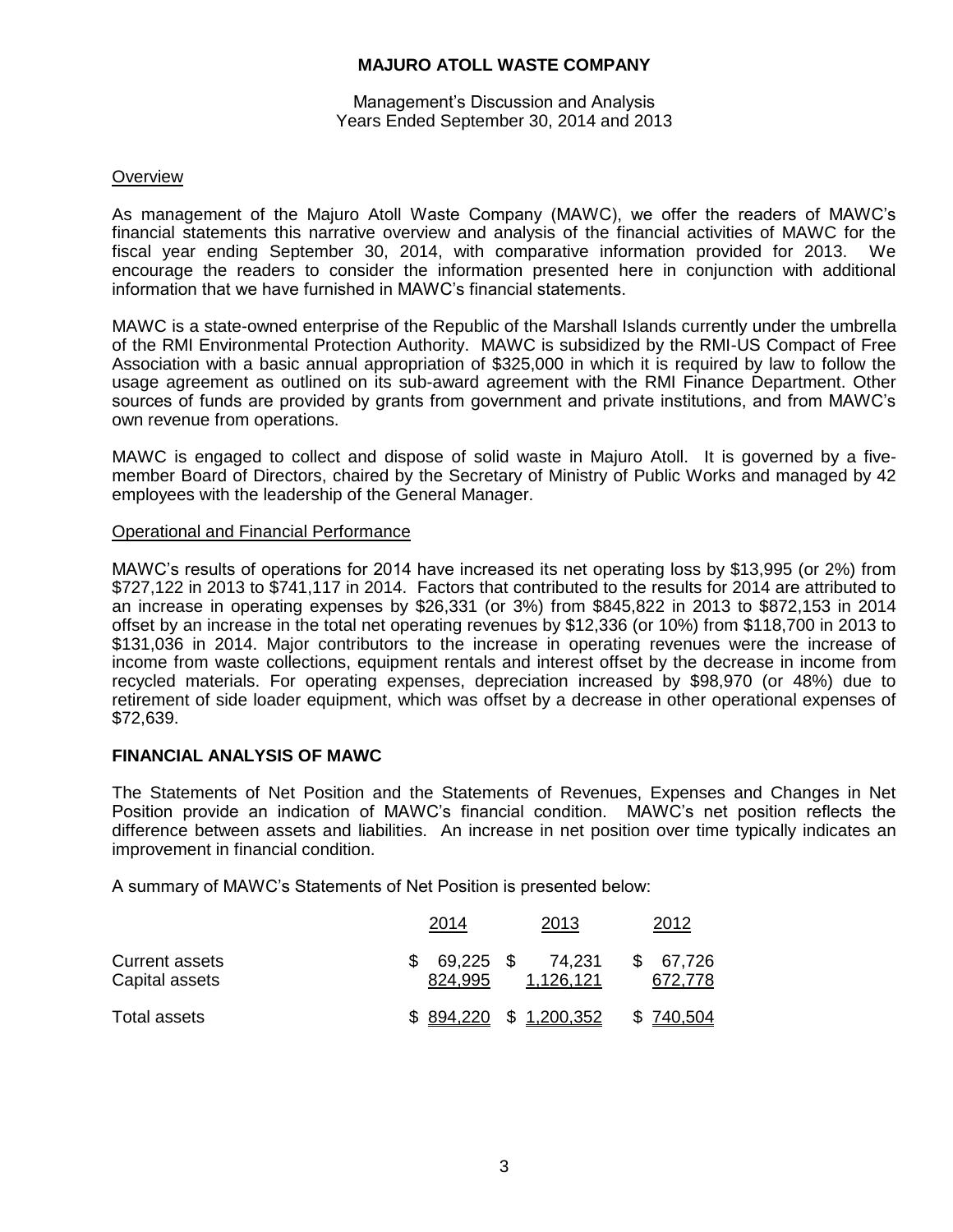#### Management's Discussion and Analysis Years Ended September 30, 2014 and 2013

### **Overview**

As management of the Majuro Atoll Waste Company (MAWC), we offer the readers of MAWC's financial statements this narrative overview and analysis of the financial activities of MAWC for the fiscal year ending September 30, 2014, with comparative information provided for 2013. We encourage the readers to consider the information presented here in conjunction with additional information that we have furnished in MAWC's financial statements.

MAWC is a state-owned enterprise of the Republic of the Marshall Islands currently under the umbrella of the RMI Environmental Protection Authority. MAWC is subsidized by the RMI-US Compact of Free Association with a basic annual appropriation of \$325,000 in which it is required by law to follow the usage agreement as outlined on its sub-award agreement with the RMI Finance Department. Other sources of funds are provided by grants from government and private institutions, and from MAWC's own revenue from operations.

MAWC is engaged to collect and dispose of solid waste in Majuro Atoll. It is governed by a fivemember Board of Directors, chaired by the Secretary of Ministry of Public Works and managed by 42 employees with the leadership of the General Manager.

#### Operational and Financial Performance

MAWC's results of operations for 2014 have increased its net operating loss by \$13,995 (or 2%) from \$727,122 in 2013 to \$741,117 in 2014. Factors that contributed to the results for 2014 are attributed to an increase in operating expenses by \$26,331 (or 3%) from \$845,822 in 2013 to \$872,153 in 2014 offset by an increase in the total net operating revenues by \$12,336 (or 10%) from \$118,700 in 2013 to \$131,036 in 2014. Major contributors to the increase in operating revenues were the increase of income from waste collections, equipment rentals and interest offset by the decrease in income from recycled materials. For operating expenses, depreciation increased by \$98,970 (or 48%) due to retirement of side loader equipment, which was offset by a decrease in other operational expenses of \$72,639.

## **FINANCIAL ANALYSIS OF MAWC**

The Statements of Net Position and the Statements of Revenues, Expenses and Changes in Net Position provide an indication of MAWC's financial condition. MAWC's net position reflects the difference between assets and liabilities. An increase in net position over time typically indicates an improvement in financial condition.

A summary of MAWC's Statements of Net Position is presented below:

|                                         | 2014                 | 2013                | 2012              |
|-----------------------------------------|----------------------|---------------------|-------------------|
| <b>Current assets</b><br>Capital assets | 69,225 \$<br>824,995 | 74.231<br>1,126,121 | 67,726<br>672,778 |
| Total assets                            | \$894,220            | \$1,200,352         | \$ 740,504        |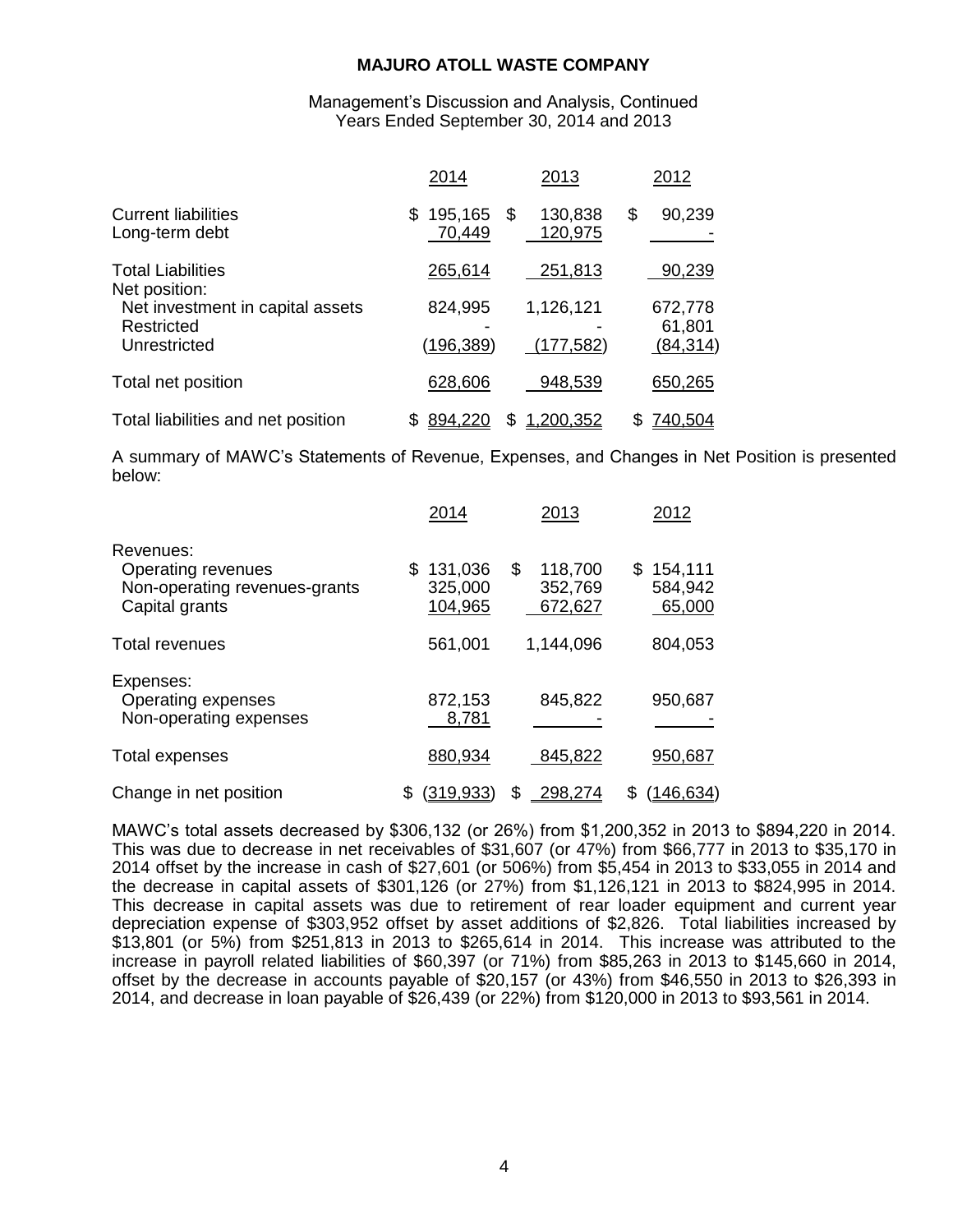Management's Discussion and Analysis, Continued Years Ended September 30, 2014 and 2013

|                                                                | 2014                        | 2013                     | 2012                           |
|----------------------------------------------------------------|-----------------------------|--------------------------|--------------------------------|
| <b>Current liabilities</b><br>Long-term debt                   | 195,165<br>S.<br>70,449     | 130,838<br>\$<br>120,975 | \$<br>90,239                   |
| <b>Total Liabilities</b><br>Net position:                      | 265,614                     | 251,813                  | 90,239                         |
| Net investment in capital assets<br>Restricted<br>Unrestricted | 824,995<br><u>(196,389)</u> | 1,126,121<br>(177, 582)  | 672,778<br>61,801<br>(84, 314) |
| Total net position                                             | 628,606                     | 948,539                  | 650,265                        |
| Total liabilities and net position                             | 894,220                     | .200,352<br>\$           | 740,504<br>S                   |

A summary of MAWC's Statements of Revenue, Expenses, and Changes in Net Position is presented below:

|                                                                                    | 2014                                 | 2013                                | 2012                                |
|------------------------------------------------------------------------------------|--------------------------------------|-------------------------------------|-------------------------------------|
| Revenues:<br>Operating revenues<br>Non-operating revenues-grants<br>Capital grants | 131,036<br>\$.<br>325,000<br>104,965 | \$<br>118,700<br>352,769<br>672,627 | 154,111<br>\$.<br>584,942<br>65,000 |
| <b>Total revenues</b>                                                              | 561,001                              | 1,144,096                           | 804,053                             |
| Expenses:<br>Operating expenses<br>Non-operating expenses                          | 872,153<br>8,781                     | 845,822                             | 950,687                             |
| Total expenses                                                                     | 880,934                              | 845,822                             | 950,687                             |
| Change in net position                                                             | \$<br><u>(319,933)</u>               | \$<br>298,274                       | <u>(146,634)</u><br>S               |

MAWC's total assets decreased by \$306,132 (or 26%) from \$1,200,352 in 2013 to \$894,220 in 2014. This was due to decrease in net receivables of \$31,607 (or 47%) from \$66,777 in 2013 to \$35,170 in 2014 offset by the increase in cash of \$27,601 (or 506%) from \$5,454 in 2013 to \$33,055 in 2014 and the decrease in capital assets of \$301,126 (or 27%) from \$1,126,121 in 2013 to \$824,995 in 2014. This decrease in capital assets was due to retirement of rear loader equipment and current year depreciation expense of \$303,952 offset by asset additions of \$2,826. Total liabilities increased by \$13,801 (or 5%) from \$251,813 in 2013 to \$265,614 in 2014. This increase was attributed to the increase in payroll related liabilities of \$60,397 (or 71%) from \$85,263 in 2013 to \$145,660 in 2014, offset by the decrease in accounts payable of \$20,157 (or 43%) from \$46,550 in 2013 to \$26,393 in 2014, and decrease in loan payable of \$26,439 (or 22%) from \$120,000 in 2013 to \$93,561 in 2014.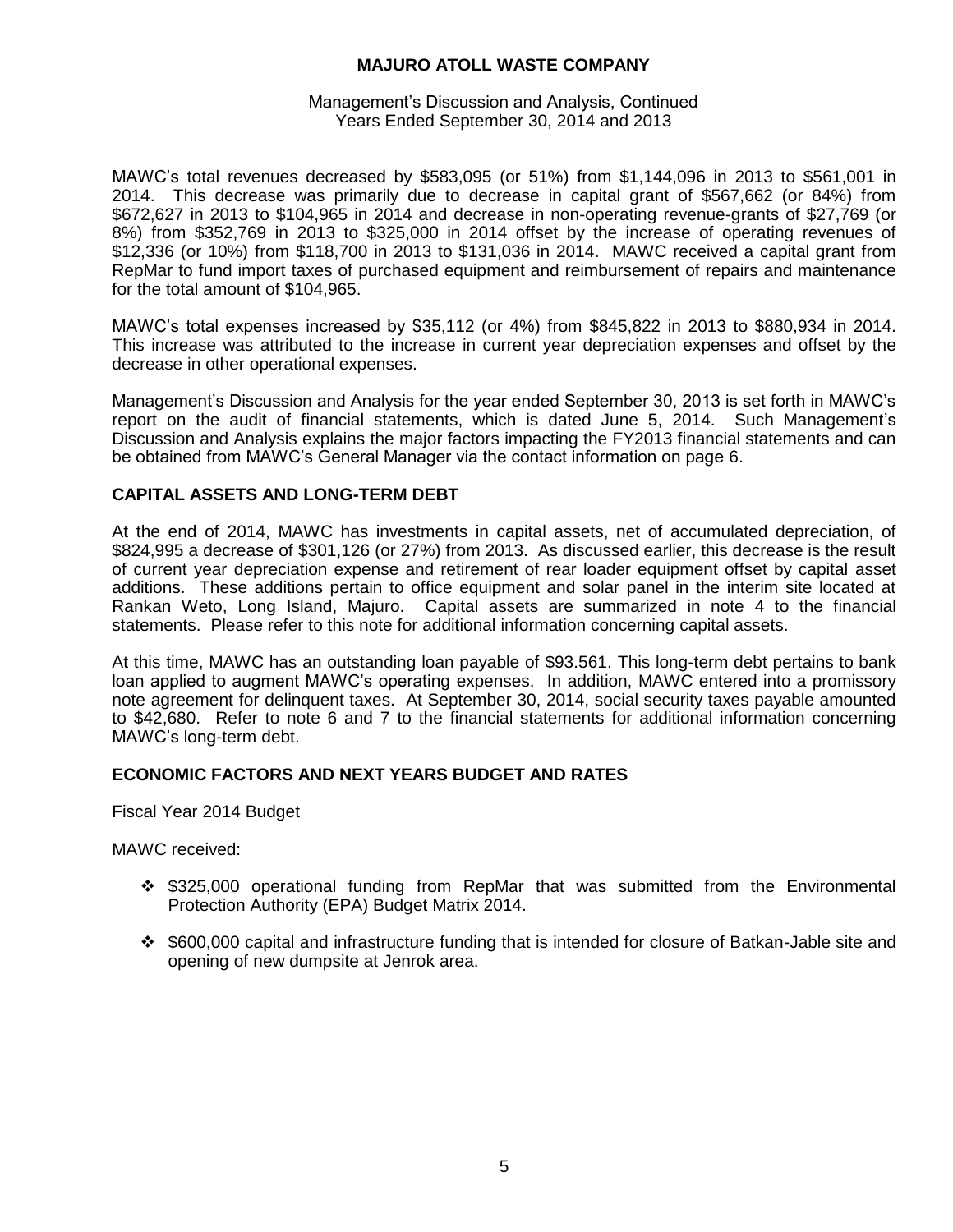#### Management's Discussion and Analysis, Continued Years Ended September 30, 2014 and 2013

MAWC's total revenues decreased by \$583,095 (or 51%) from \$1,144,096 in 2013 to \$561,001 in 2014. This decrease was primarily due to decrease in capital grant of \$567,662 (or 84%) from \$672,627 in 2013 to \$104,965 in 2014 and decrease in non-operating revenue-grants of \$27,769 (or 8%) from \$352,769 in 2013 to \$325,000 in 2014 offset by the increase of operating revenues of \$12,336 (or 10%) from \$118,700 in 2013 to \$131,036 in 2014. MAWC received a capital grant from RepMar to fund import taxes of purchased equipment and reimbursement of repairs and maintenance for the total amount of \$104,965.

MAWC's total expenses increased by \$35,112 (or 4%) from \$845,822 in 2013 to \$880,934 in 2014. This increase was attributed to the increase in current year depreciation expenses and offset by the decrease in other operational expenses.

Management's Discussion and Analysis for the year ended September 30, 2013 is set forth in MAWC's report on the audit of financial statements, which is dated June 5, 2014. Such Management's Discussion and Analysis explains the major factors impacting the FY2013 financial statements and can be obtained from MAWC's General Manager via the contact information on page 6.

## **CAPITAL ASSETS AND LONG-TERM DEBT**

At the end of 2014, MAWC has investments in capital assets, net of accumulated depreciation, of \$824,995 a decrease of \$301,126 (or 27%) from 2013. As discussed earlier, this decrease is the result of current year depreciation expense and retirement of rear loader equipment offset by capital asset additions. These additions pertain to office equipment and solar panel in the interim site located at Rankan Weto, Long Island, Majuro. Capital assets are summarized in note 4 to the financial statements. Please refer to this note for additional information concerning capital assets.

At this time, MAWC has an outstanding loan payable of \$93.561. This long-term debt pertains to bank loan applied to augment MAWC's operating expenses. In addition, MAWC entered into a promissory note agreement for delinquent taxes. At September 30, 2014, social security taxes payable amounted to \$42,680. Refer to note 6 and 7 to the financial statements for additional information concerning MAWC's long-term debt.

## **ECONOMIC FACTORS AND NEXT YEARS BUDGET AND RATES**

Fiscal Year 2014 Budget

MAWC received:

- \$325,000 operational funding from RepMar that was submitted from the Environmental Protection Authority (EPA) Budget Matrix 2014.
- \$600,000 capital and infrastructure funding that is intended for closure of Batkan-Jable site and opening of new dumpsite at Jenrok area.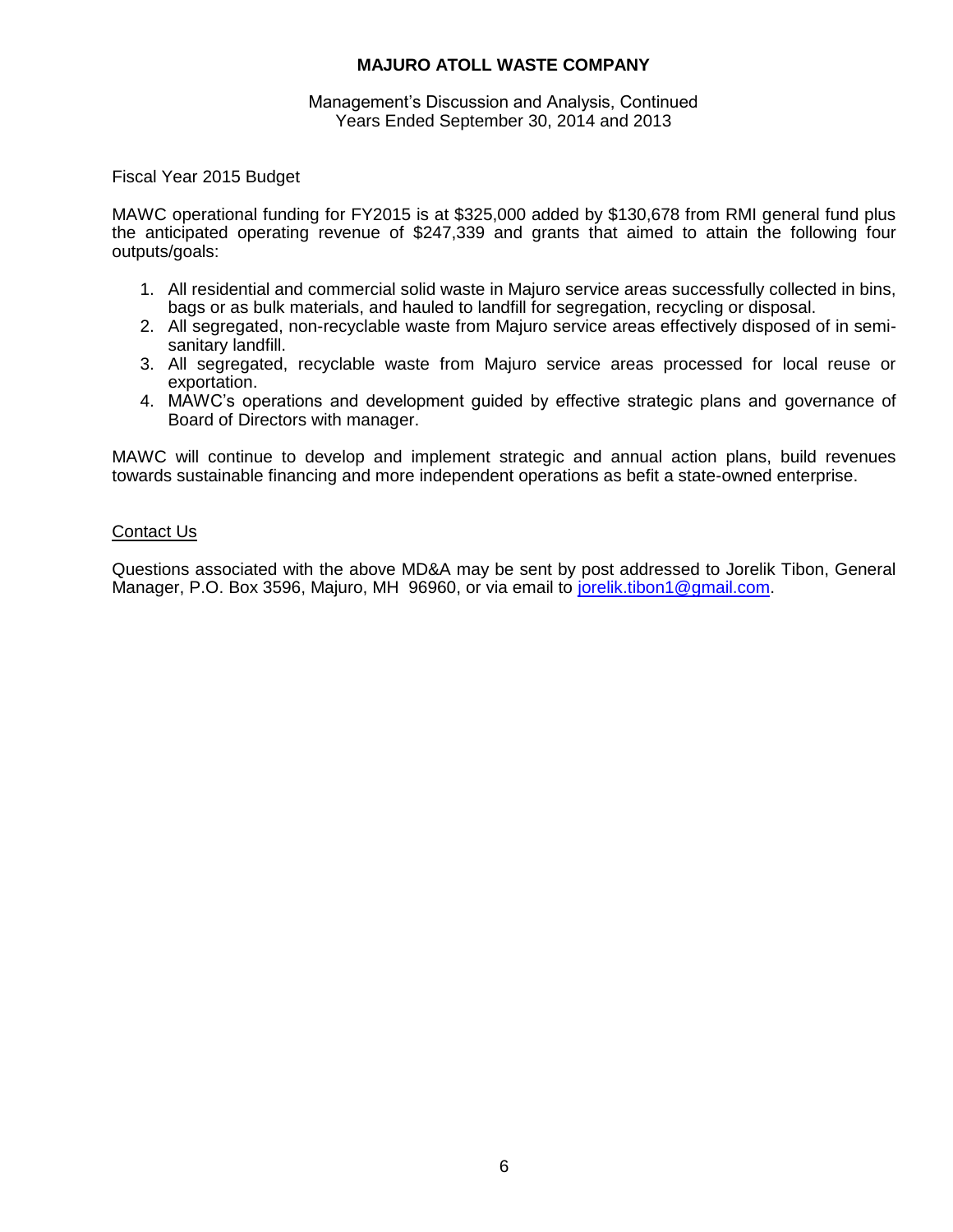#### Management's Discussion and Analysis, Continued Years Ended September 30, 2014 and 2013

## Fiscal Year 2015 Budget

MAWC operational funding for FY2015 is at \$325,000 added by \$130,678 from RMI general fund plus the anticipated operating revenue of \$247,339 and grants that aimed to attain the following four outputs/goals:

- 1. All residential and commercial solid waste in Majuro service areas successfully collected in bins, bags or as bulk materials, and hauled to landfill for segregation, recycling or disposal.
- 2. All segregated, non-recyclable waste from Majuro service areas effectively disposed of in semisanitary landfill.
- 3. All segregated, recyclable waste from Majuro service areas processed for local reuse or exportation.
- 4. MAWC's operations and development guided by effective strategic plans and governance of Board of Directors with manager.

MAWC will continue to develop and implement strategic and annual action plans, build revenues towards sustainable financing and more independent operations as befit a state-owned enterprise.

# Contact Us

Questions associated with the above MD&A may be sent by post addressed to Jorelik Tibon, General Manager, P.O. Box 3596, Majuro, MH 96960, or via email to [jorelik.tibon1@gmail.com.](mailto:jorelik.tibon1@gmail.com)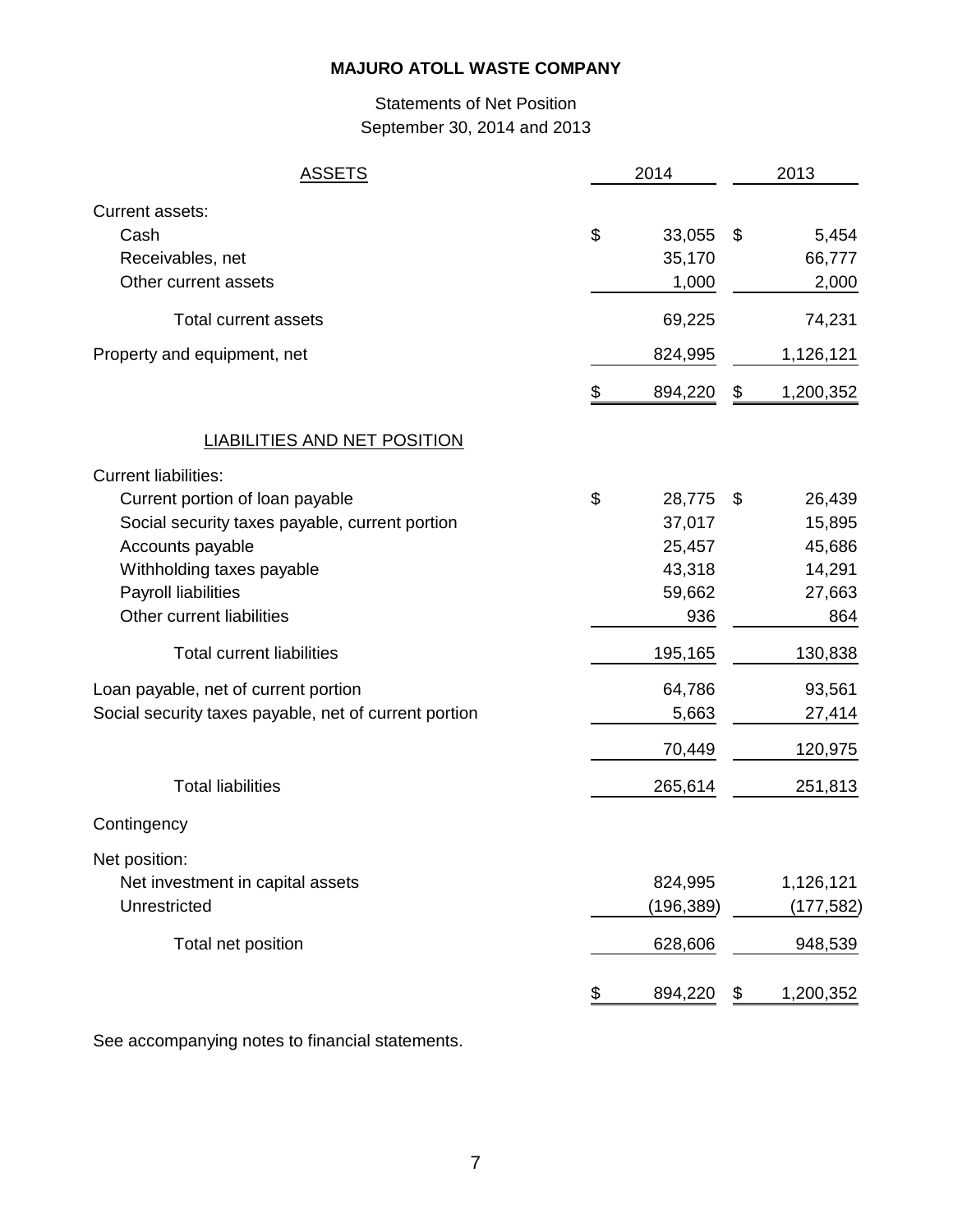# Statements of Net Position September 30, 2014 and 2013

| <u>ASSETS</u>                                                                                                                                                                                                                                                                                                                                                                          | 2014 |                                                                                                          | 2013 |                                                                                                            |
|----------------------------------------------------------------------------------------------------------------------------------------------------------------------------------------------------------------------------------------------------------------------------------------------------------------------------------------------------------------------------------------|------|----------------------------------------------------------------------------------------------------------|------|------------------------------------------------------------------------------------------------------------|
| Current assets:<br>Cash<br>Receivables, net<br>Other current assets                                                                                                                                                                                                                                                                                                                    | \$   | 33,055<br>35,170<br>1,000                                                                                | \$   | 5,454<br>66,777<br>2,000                                                                                   |
| <b>Total current assets</b>                                                                                                                                                                                                                                                                                                                                                            |      | 69,225                                                                                                   |      | 74,231                                                                                                     |
| Property and equipment, net                                                                                                                                                                                                                                                                                                                                                            |      | 824,995                                                                                                  |      | 1,126,121                                                                                                  |
|                                                                                                                                                                                                                                                                                                                                                                                        | \$   | 894,220                                                                                                  | \$   | 1,200,352                                                                                                  |
| <b>LIABILITIES AND NET POSITION</b>                                                                                                                                                                                                                                                                                                                                                    |      |                                                                                                          |      |                                                                                                            |
| <b>Current liabilities:</b><br>Current portion of loan payable<br>Social security taxes payable, current portion<br>Accounts payable<br>Withholding taxes payable<br>Payroll liabilities<br>Other current liabilities<br><b>Total current liabilities</b><br>Loan payable, net of current portion<br>Social security taxes payable, net of current portion<br><b>Total liabilities</b> | \$   | 28,775<br>37,017<br>25,457<br>43,318<br>59,662<br>936<br>195,165<br>64,786<br>5,663<br>70,449<br>265,614 | \$   | 26,439<br>15,895<br>45,686<br>14,291<br>27,663<br>864<br>130,838<br>93,561<br>27,414<br>120,975<br>251,813 |
| Contingency                                                                                                                                                                                                                                                                                                                                                                            |      |                                                                                                          |      |                                                                                                            |
| Net position:<br>Net investment in capital assets<br>Unrestricted<br>Total net position                                                                                                                                                                                                                                                                                                |      | 824,995<br>(196,389)<br>628,606                                                                          |      | 1,126,121<br>(177,582)<br>948,539                                                                          |
|                                                                                                                                                                                                                                                                                                                                                                                        | \$   | 894,220                                                                                                  | \$   | 1,200,352                                                                                                  |

See accompanying notes to financial statements.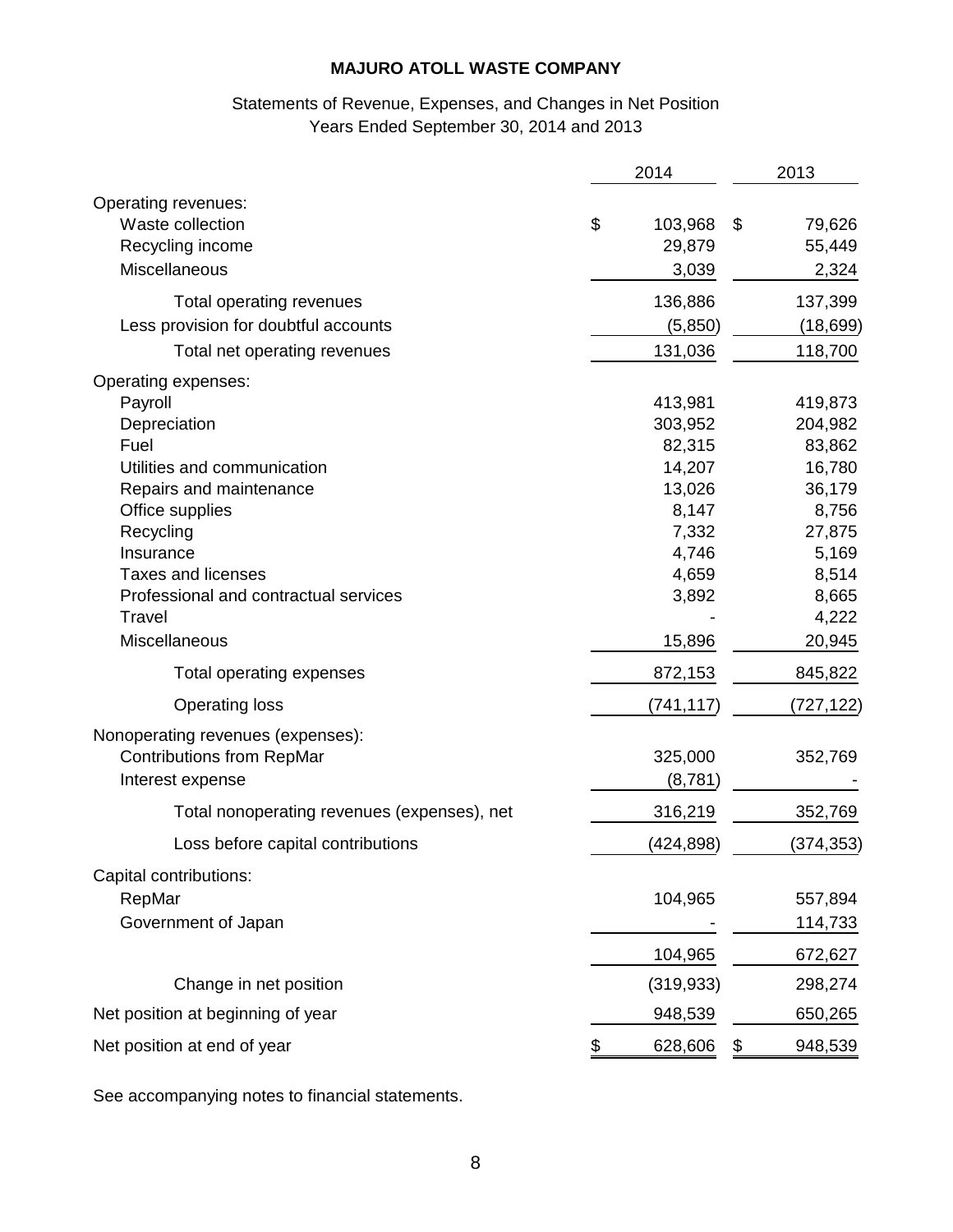# Statements of Revenue, Expenses, and Changes in Net Position Years Ended September 30, 2014 and 2013

|                                                                                                                                                                                                                                                                | 2014 |                                                                                                         | 2013 |                                                                                                                   |
|----------------------------------------------------------------------------------------------------------------------------------------------------------------------------------------------------------------------------------------------------------------|------|---------------------------------------------------------------------------------------------------------|------|-------------------------------------------------------------------------------------------------------------------|
| Operating revenues:<br>Waste collection<br>Recycling income<br><b>Miscellaneous</b>                                                                                                                                                                            | \$   | 103,968<br>29,879<br>3,039                                                                              | \$   | 79,626<br>55,449<br>2,324                                                                                         |
| Total operating revenues                                                                                                                                                                                                                                       |      | 136,886                                                                                                 |      | 137,399                                                                                                           |
| Less provision for doubtful accounts                                                                                                                                                                                                                           |      | (5,850)                                                                                                 |      | (18, 699)                                                                                                         |
| Total net operating revenues                                                                                                                                                                                                                                   |      | 131,036                                                                                                 |      | 118,700                                                                                                           |
| Operating expenses:<br>Payroll<br>Depreciation<br>Fuel<br>Utilities and communication<br>Repairs and maintenance<br>Office supplies<br>Recycling<br>Insurance<br><b>Taxes and licenses</b><br>Professional and contractual services<br>Travel<br>Miscellaneous |      | 413,981<br>303,952<br>82,315<br>14,207<br>13,026<br>8,147<br>7,332<br>4,746<br>4,659<br>3,892<br>15,896 |      | 419,873<br>204,982<br>83,862<br>16,780<br>36,179<br>8,756<br>27,875<br>5,169<br>8,514<br>8,665<br>4,222<br>20,945 |
| Total operating expenses                                                                                                                                                                                                                                       |      | 872,153                                                                                                 |      | 845,822                                                                                                           |
| <b>Operating loss</b>                                                                                                                                                                                                                                          |      | (741, 117)                                                                                              |      | (727, 122)                                                                                                        |
| Nonoperating revenues (expenses):<br><b>Contributions from RepMar</b><br>Interest expense                                                                                                                                                                      |      | 325,000<br>(8,781)                                                                                      |      | 352,769                                                                                                           |
| Total nonoperating revenues (expenses), net                                                                                                                                                                                                                    |      | 316,219                                                                                                 |      | 352,769                                                                                                           |
| Loss before capital contributions                                                                                                                                                                                                                              |      | (424,898)                                                                                               |      | (374, 353)                                                                                                        |
| Capital contributions:<br>RepMar<br>Government of Japan                                                                                                                                                                                                        |      | 104,965<br>104,965                                                                                      |      | 557,894<br>114,733<br>672,627                                                                                     |
| Change in net position                                                                                                                                                                                                                                         |      | (319, 933)                                                                                              |      | 298,274                                                                                                           |
| Net position at beginning of year                                                                                                                                                                                                                              |      | 948,539                                                                                                 |      | 650,265                                                                                                           |
| Net position at end of year                                                                                                                                                                                                                                    | \$   | 628,606                                                                                                 | \$   | 948,539                                                                                                           |

See accompanying notes to financial statements.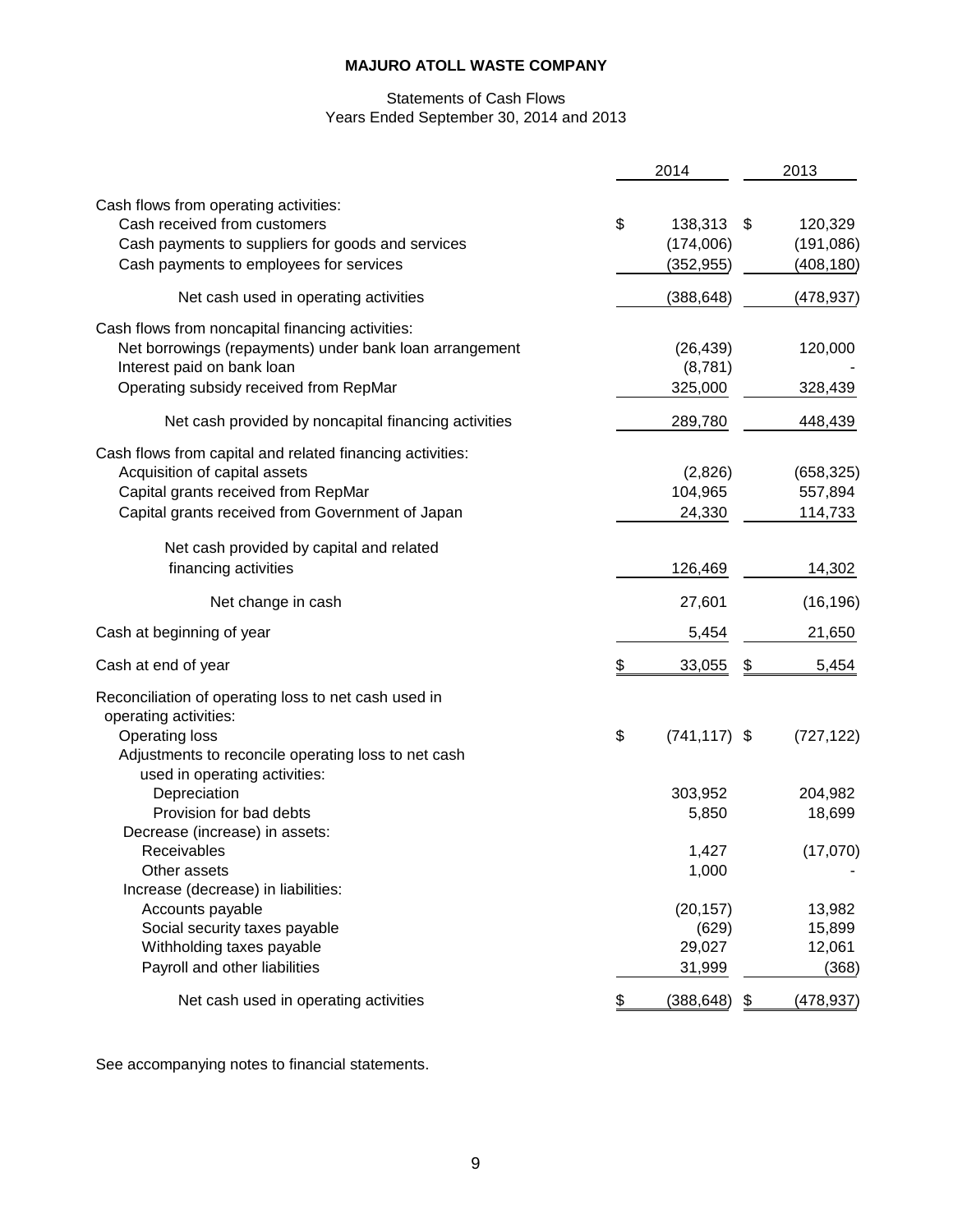# Statements of Cash Flows Years Ended September 30, 2014 and 2013

|                                                                                                                                                                                                | 2014                                     | 2013                                      |
|------------------------------------------------------------------------------------------------------------------------------------------------------------------------------------------------|------------------------------------------|-------------------------------------------|
| Cash flows from operating activities:<br>Cash received from customers<br>Cash payments to suppliers for goods and services<br>Cash payments to employees for services                          | \$<br>138,313<br>(174,006)<br>(352, 955) | \$<br>120,329<br>(191, 086)<br>(408, 180) |
| Net cash used in operating activities                                                                                                                                                          | (388, 648)                               | (478, 937)                                |
| Cash flows from noncapital financing activities:<br>Net borrowings (repayments) under bank loan arrangement<br>Interest paid on bank loan<br>Operating subsidy received from RepMar            | (26, 439)<br>(8,781)<br>325,000          | 120,000<br>328,439                        |
| Net cash provided by noncapital financing activities                                                                                                                                           | 289,780                                  | 448,439                                   |
| Cash flows from capital and related financing activities:<br>Acquisition of capital assets<br>Capital grants received from RepMar<br>Capital grants received from Government of Japan          | (2,826)<br>104,965<br>24,330             | (658, 325)<br>557,894<br>114,733          |
| Net cash provided by capital and related<br>financing activities                                                                                                                               | 126,469                                  | 14,302                                    |
| Net change in cash                                                                                                                                                                             | 27,601                                   | (16, 196)                                 |
| Cash at beginning of year                                                                                                                                                                      | 5,454                                    | 21,650                                    |
| Cash at end of year                                                                                                                                                                            | \$<br>33,055                             | \$<br>5,454                               |
| Reconciliation of operating loss to net cash used in<br>operating activities:<br><b>Operating loss</b><br>Adjustments to reconcile operating loss to net cash<br>used in operating activities: | \$<br>$(741, 117)$ \$                    | (727, 122)                                |
| Depreciation<br>Provision for bad debts<br>Decrease (increase) in assets:                                                                                                                      | 303,952<br>5,850                         | 204,982<br>18,699                         |
| Receivables<br>Other assets<br>Increase (decrease) in liabilities:                                                                                                                             | 1,427<br>1,000                           | (17,070)                                  |
| Accounts payable<br>Social security taxes payable<br>Withholding taxes payable<br>Payroll and other liabilities                                                                                | (20, 157)<br>(629)<br>29,027<br>31,999   | 13,982<br>15,899<br>12,061<br>(368)       |
| Net cash used in operating activities                                                                                                                                                          | \$<br>(388, 648)                         | \$<br>(478, 937)                          |

See accompanying notes to financial statements.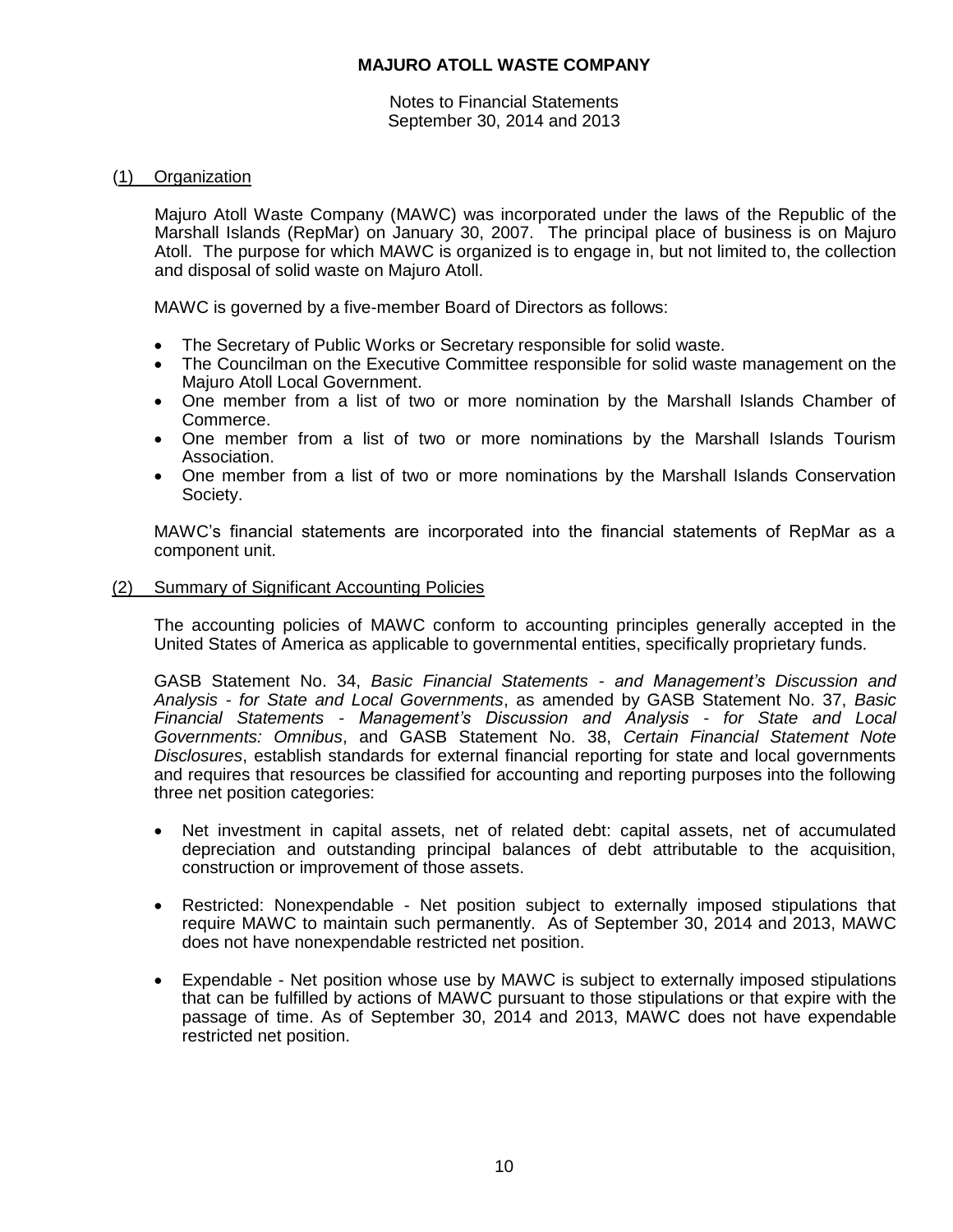Notes to Financial Statements September 30, 2014 and 2013

# (1) Organization

Majuro Atoll Waste Company (MAWC) was incorporated under the laws of the Republic of the Marshall Islands (RepMar) on January 30, 2007. The principal place of business is on Majuro Atoll. The purpose for which MAWC is organized is to engage in, but not limited to, the collection and disposal of solid waste on Majuro Atoll.

MAWC is governed by a five-member Board of Directors as follows:

- The Secretary of Public Works or Secretary responsible for solid waste.
- The Councilman on the Executive Committee responsible for solid waste management on the Majuro Atoll Local Government.
- One member from a list of two or more nomination by the Marshall Islands Chamber of Commerce.
- One member from a list of two or more nominations by the Marshall Islands Tourism Association.
- One member from a list of two or more nominations by the Marshall Islands Conservation Society.

MAWC's financial statements are incorporated into the financial statements of RepMar as a component unit.

## (2) Summary of Significant Accounting Policies

The accounting policies of MAWC conform to accounting principles generally accepted in the United States of America as applicable to governmental entities, specifically proprietary funds.

GASB Statement No. 34, *Basic Financial Statements - and Management's Discussion and Analysis - for State and Local Governments*, as amended by GASB Statement No. 37, *Basic Financial Statements - Management's Discussion and Analysis - for State and Local Governments: Omnibus*, and GASB Statement No. 38, *Certain Financial Statement Note Disclosures*, establish standards for external financial reporting for state and local governments and requires that resources be classified for accounting and reporting purposes into the following three net position categories:

- Net investment in capital assets, net of related debt: capital assets, net of accumulated depreciation and outstanding principal balances of debt attributable to the acquisition, construction or improvement of those assets.
- Restricted: Nonexpendable Net position subject to externally imposed stipulations that require MAWC to maintain such permanently. As of September 30, 2014 and 2013, MAWC does not have nonexpendable restricted net position.
- Expendable Net position whose use by MAWC is subject to externally imposed stipulations that can be fulfilled by actions of MAWC pursuant to those stipulations or that expire with the passage of time. As of September 30, 2014 and 2013, MAWC does not have expendable restricted net position.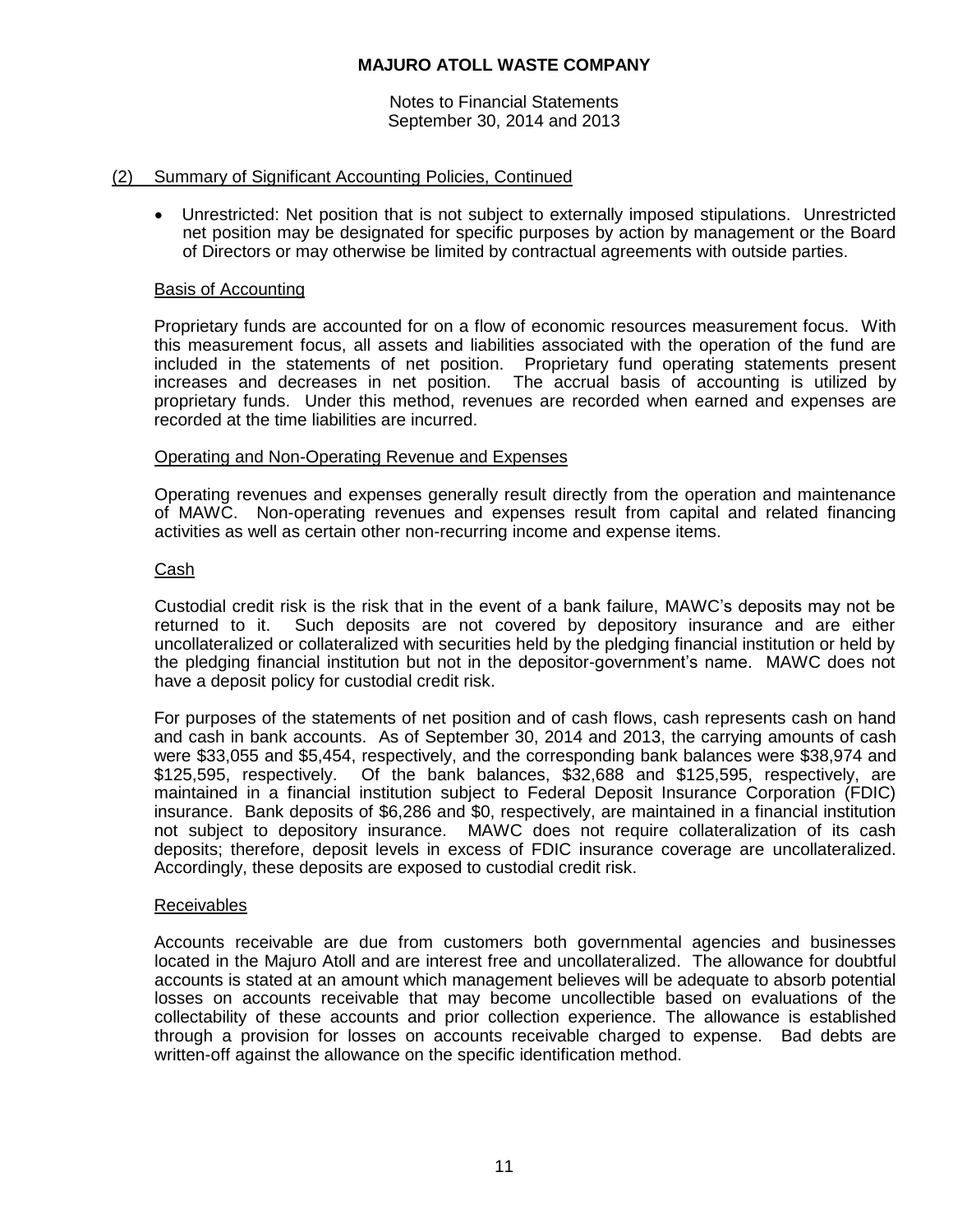Notes to Financial Statements September 30, 2014 and 2013

## (2) Summary of Significant Accounting Policies, Continued

 Unrestricted: Net position that is not subject to externally imposed stipulations. Unrestricted net position may be designated for specific purposes by action by management or the Board of Directors or may otherwise be limited by contractual agreements with outside parties.

## Basis of Accounting

Proprietary funds are accounted for on a flow of economic resources measurement focus. With this measurement focus, all assets and liabilities associated with the operation of the fund are included in the statements of net position. Proprietary fund operating statements present increases and decreases in net position. The accrual basis of accounting is utilized by proprietary funds. Under this method, revenues are recorded when earned and expenses are recorded at the time liabilities are incurred.

# Operating and Non-Operating Revenue and Expenses

Operating revenues and expenses generally result directly from the operation and maintenance of MAWC. Non-operating revenues and expenses result from capital and related financing activities as well as certain other non-recurring income and expense items.

# Cash

Custodial credit risk is the risk that in the event of a bank failure, MAWC's deposits may not be returned to it. Such deposits are not covered by depository insurance and are either uncollateralized or collateralized with securities held by the pledging financial institution or held by the pledging financial institution but not in the depositor-government's name. MAWC does not have a deposit policy for custodial credit risk.

For purposes of the statements of net position and of cash flows, cash represents cash on hand and cash in bank accounts. As of September 30, 2014 and 2013, the carrying amounts of cash were \$33,055 and \$5,454, respectively, and the corresponding bank balances were \$38,974 and \$125,595, respectively. Of the bank balances, \$32,688 and \$125,595, respectively, are maintained in a financial institution subject to Federal Deposit Insurance Corporation (FDIC) insurance. Bank deposits of \$6,286 and \$0, respectively, are maintained in a financial institution not subject to depository insurance. MAWC does not require collateralization of its cash deposits; therefore, deposit levels in excess of FDIC insurance coverage are uncollateralized. Accordingly, these deposits are exposed to custodial credit risk.

## Receivables

Accounts receivable are due from customers both governmental agencies and businesses located in the Majuro Atoll and are interest free and uncollateralized. The allowance for doubtful accounts is stated at an amount which management believes will be adequate to absorb potential losses on accounts receivable that may become uncollectible based on evaluations of the collectability of these accounts and prior collection experience. The allowance is established through a provision for losses on accounts receivable charged to expense. Bad debts are written-off against the allowance on the specific identification method.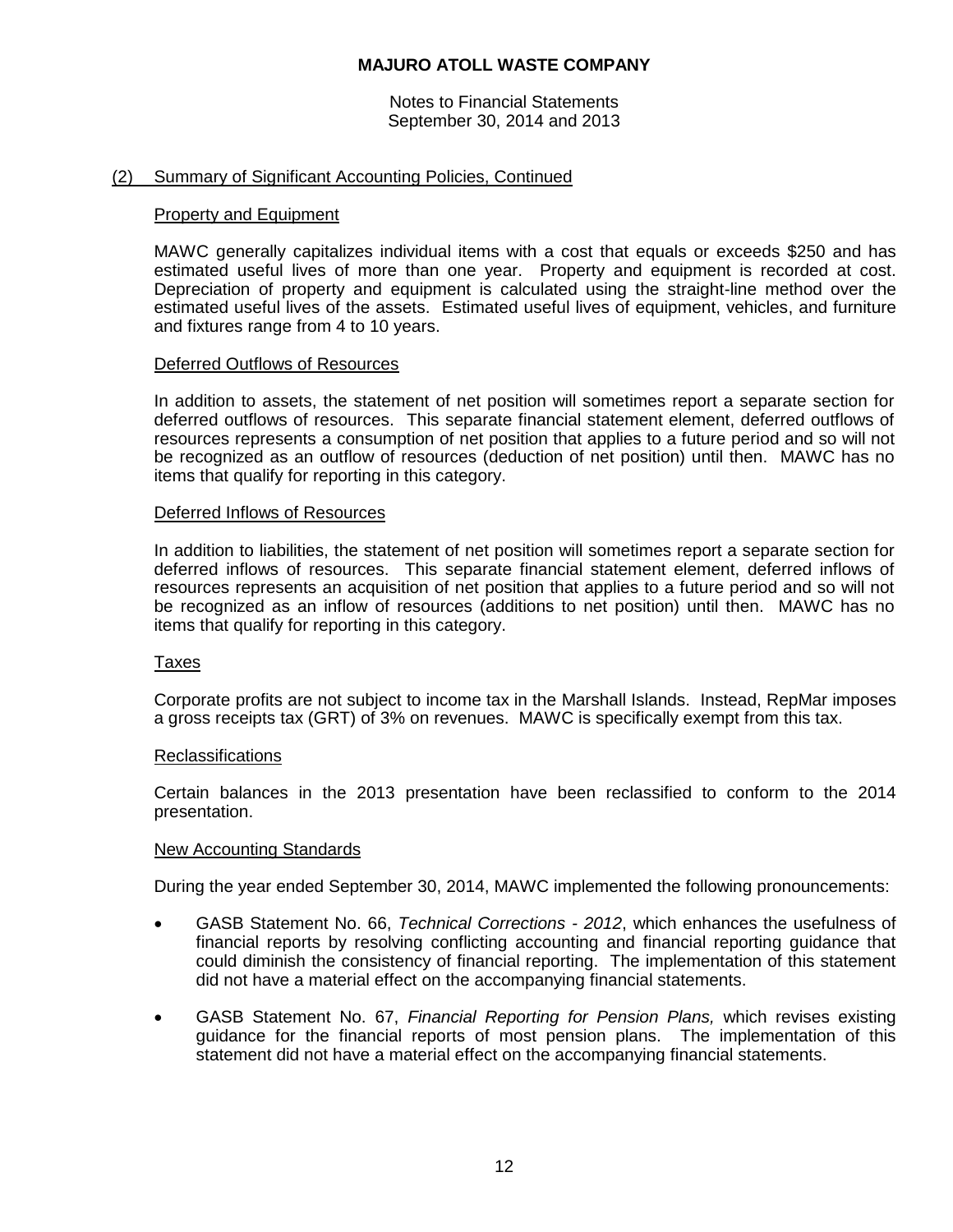Notes to Financial Statements September 30, 2014 and 2013

### (2) Summary of Significant Accounting Policies, Continued

#### Property and Equipment

MAWC generally capitalizes individual items with a cost that equals or exceeds \$250 and has estimated useful lives of more than one year. Property and equipment is recorded at cost. Depreciation of property and equipment is calculated using the straight-line method over the estimated useful lives of the assets. Estimated useful lives of equipment, vehicles, and furniture and fixtures range from 4 to 10 years.

#### Deferred Outflows of Resources

In addition to assets, the statement of net position will sometimes report a separate section for deferred outflows of resources. This separate financial statement element, deferred outflows of resources represents a consumption of net position that applies to a future period and so will not be recognized as an outflow of resources (deduction of net position) until then. MAWC has no items that qualify for reporting in this category.

#### Deferred Inflows of Resources

In addition to liabilities, the statement of net position will sometimes report a separate section for deferred inflows of resources. This separate financial statement element, deferred inflows of resources represents an acquisition of net position that applies to a future period and so will not be recognized as an inflow of resources (additions to net position) until then. MAWC has no items that qualify for reporting in this category.

#### Taxes

Corporate profits are not subject to income tax in the Marshall Islands. Instead, RepMar imposes a gross receipts tax (GRT) of 3% on revenues. MAWC is specifically exempt from this tax.

#### **Reclassifications**

Certain balances in the 2013 presentation have been reclassified to conform to the 2014 presentation.

#### New Accounting Standards

During the year ended September 30, 2014, MAWC implemented the following pronouncements:

- GASB Statement No. 66, *Technical Corrections - 2012*, which enhances the usefulness of financial reports by resolving conflicting accounting and financial reporting guidance that could diminish the consistency of financial reporting. The implementation of this statement did not have a material effect on the accompanying financial statements.
- GASB Statement No. 67, *Financial Reporting for Pension Plans,* which revises existing guidance for the financial reports of most pension plans. The implementation of this statement did not have a material effect on the accompanying financial statements.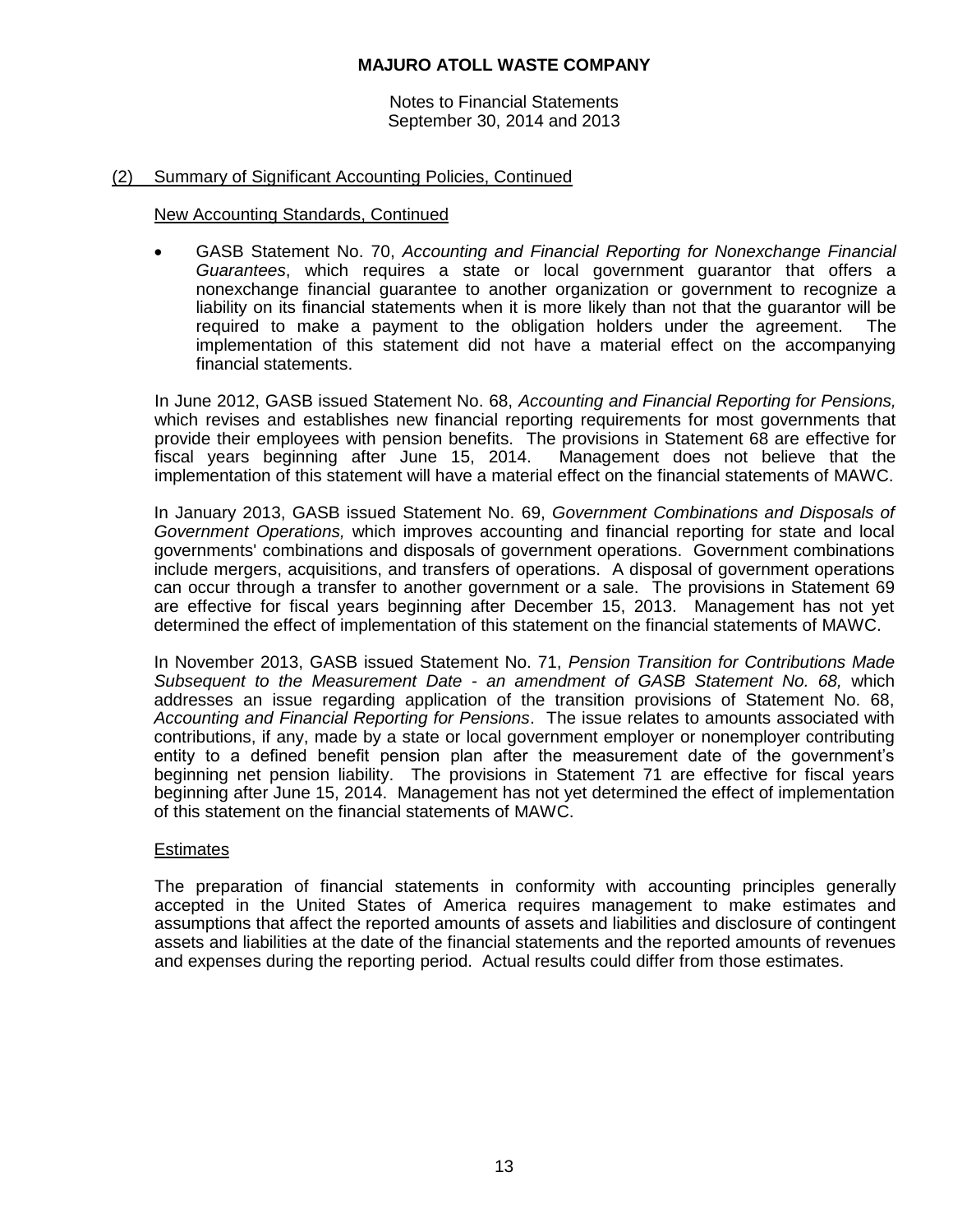Notes to Financial Statements September 30, 2014 and 2013

## (2) Summary of Significant Accounting Policies, Continued

#### New Accounting Standards, Continued

 GASB Statement No. 70, *Accounting and Financial Reporting for Nonexchange Financial Guarantees*, which requires a state or local government guarantor that offers a nonexchange financial guarantee to another organization or government to recognize a liability on its financial statements when it is more likely than not that the guarantor will be required to make a payment to the obligation holders under the agreement. The implementation of this statement did not have a material effect on the accompanying financial statements.

In June 2012, GASB issued Statement No. 68, *Accounting and Financial Reporting for Pensions,*  which revises and establishes new financial reporting requirements for most governments that provide their employees with pension benefits. The provisions in Statement 68 are effective for fiscal years beginning after June 15, 2014. Management does not believe that the implementation of this statement will have a material effect on the financial statements of MAWC.

In January 2013, GASB issued Statement No. 69, *Government Combinations and Disposals of Government Operations,* which improves accounting and financial reporting for state and local governments' combinations and disposals of government operations. Government combinations include mergers, acquisitions, and transfers of operations. A disposal of government operations can occur through a transfer to another government or a sale. The provisions in Statement 69 are effective for fiscal years beginning after December 15, 2013. Management has not yet determined the effect of implementation of this statement on the financial statements of MAWC.

In November 2013, GASB issued Statement No. 71, *Pension Transition for Contributions Made Subsequent to the Measurement Date - an amendment of GASB Statement No. 68,* which addresses an issue regarding application of the transition provisions of Statement No. 68, *Accounting and Financial Reporting for Pensions*. The issue relates to amounts associated with contributions, if any, made by a state or local government employer or nonemployer contributing entity to a defined benefit pension plan after the measurement date of the government's beginning net pension liability. The provisions in Statement 71 are effective for fiscal years beginning after June 15, 2014. Management has not yet determined the effect of implementation of this statement on the financial statements of MAWC.

## **Estimates**

The preparation of financial statements in conformity with accounting principles generally accepted in the United States of America requires management to make estimates and assumptions that affect the reported amounts of assets and liabilities and disclosure of contingent assets and liabilities at the date of the financial statements and the reported amounts of revenues and expenses during the reporting period. Actual results could differ from those estimates.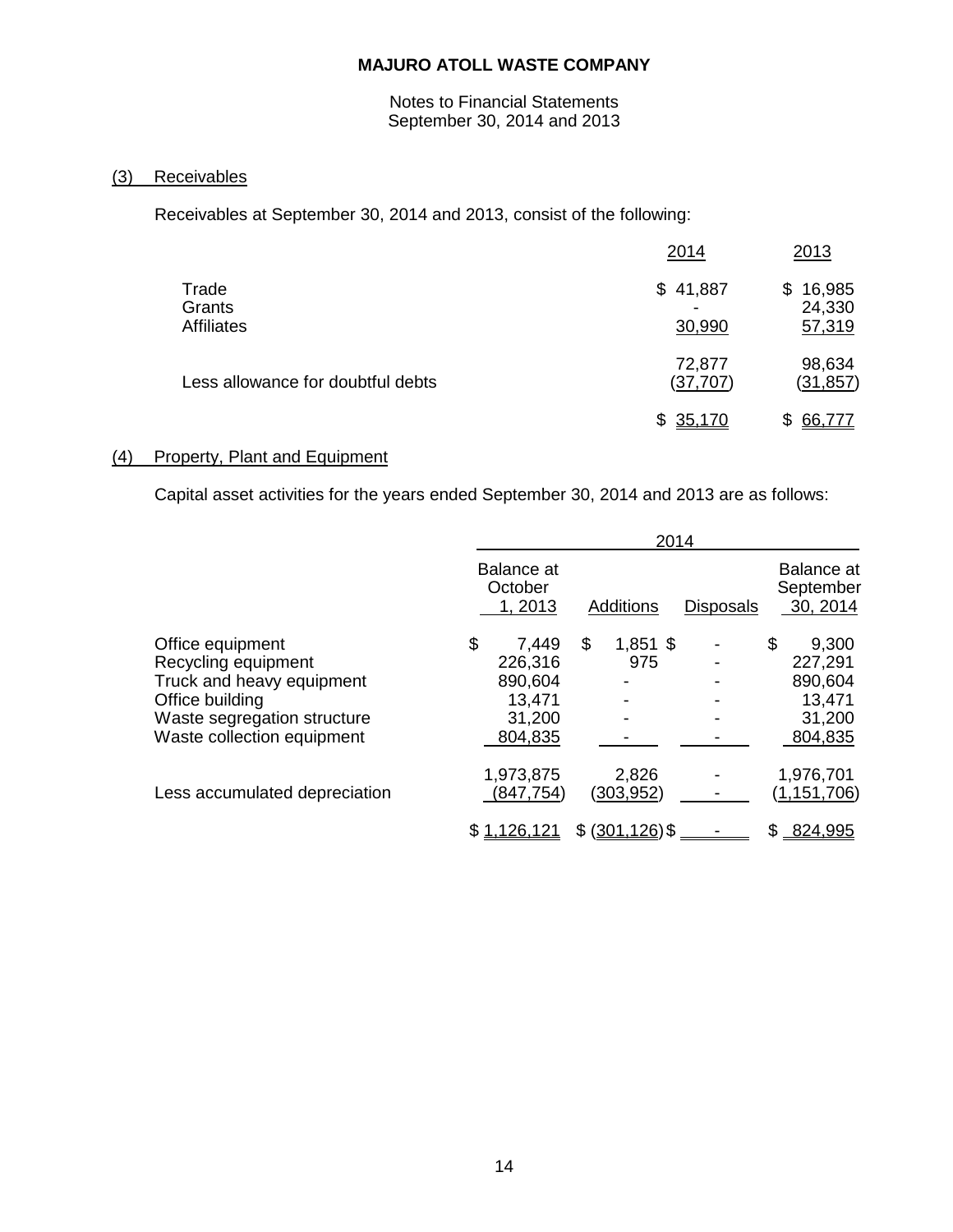Notes to Financial Statements September 30, 2014 and 2013

# (3) Receivables

Receivables at September 30, 2014 and 2013, consist of the following:

|                                      | 2014                | 2013                             |
|--------------------------------------|---------------------|----------------------------------|
| Trade<br>Grants<br><b>Affiliates</b> | \$41,887<br>30,990  | 16,985<br>\$<br>24,330<br>57,319 |
| Less allowance for doubtful debts    | 72,877<br>(37, 707) | 98,634<br><u>(31,857)</u>        |
|                                      | \$35,170            | 66,777                           |

## (4) Property, Plant and Equipment

Capital asset activities for the years ended September 30, 2014 and 2013 are as follows:

|                               | 2014                                   |                  |                  |                                     |  |
|-------------------------------|----------------------------------------|------------------|------------------|-------------------------------------|--|
|                               | <b>Balance at</b><br>October<br>1,2013 | Additions        | <b>Disposals</b> | Balance at<br>September<br>30, 2014 |  |
| Office equipment              | \$<br>7,449                            | \$<br>$1,851$ \$ |                  | \$<br>9,300                         |  |
| Recycling equipment           | 226,316                                | 975              |                  | 227,291                             |  |
| Truck and heavy equipment     | 890,604                                |                  |                  | 890,604                             |  |
| Office building               | 13,471                                 |                  |                  | 13,471                              |  |
| Waste segregation structure   | 31,200                                 |                  |                  | 31,200                              |  |
| Waste collection equipment    | 804,835                                |                  |                  | 804,835                             |  |
|                               | 1,973,875                              | 2,826            |                  | 1,976,701                           |  |
| Less accumulated depreciation | (847, 754)                             | (303,952)        |                  | (1,151,706)                         |  |
|                               | \$1,126,121                            | \$ (301, 126)    |                  | 824,995<br>S.                       |  |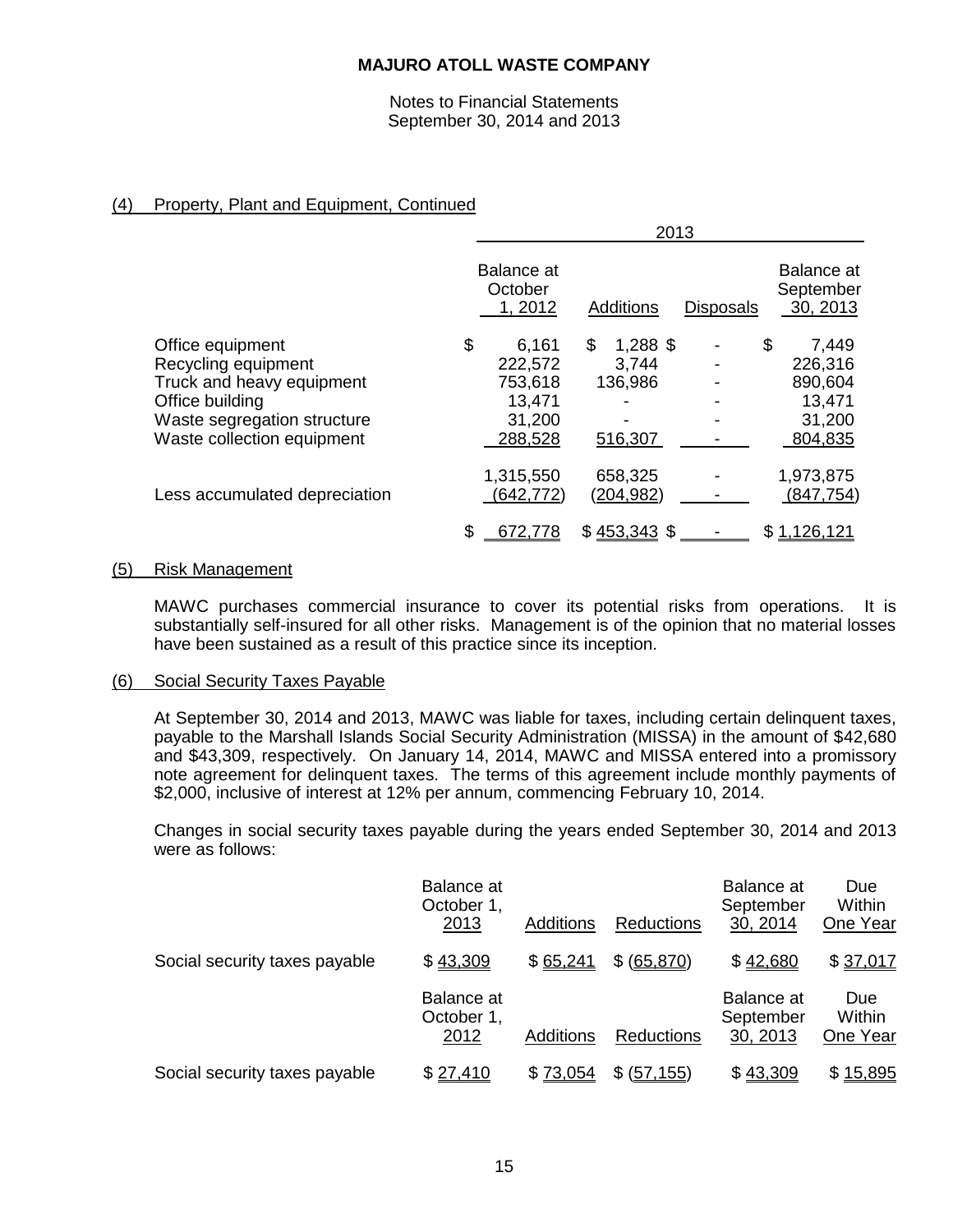Notes to Financial Statements September 30, 2014 and 2013

# (4) Property, Plant and Equipment, Continued

|                               | 2013                             |                      |                  |                                     |  |
|-------------------------------|----------------------------------|----------------------|------------------|-------------------------------------|--|
|                               | Balance at<br>October<br>1, 2012 | <b>Additions</b>     | <b>Disposals</b> | Balance at<br>September<br>30, 2013 |  |
| Office equipment              | \$<br>6,161                      | \$<br>1,288 \$       |                  | \$<br>7,449                         |  |
| Recycling equipment           | 222,572                          | 3,744                |                  | 226,316                             |  |
| Truck and heavy equipment     | 753,618                          | 136,986              |                  | 890,604                             |  |
| Office building               | 13,471                           |                      |                  | 13,471                              |  |
| Waste segregation structure   | 31,200                           |                      |                  | 31,200                              |  |
| Waste collection equipment    | 288,528                          | 516,307              |                  | 804,835                             |  |
| Less accumulated depreciation | 1,315,550<br>(642, 772)          | 658,325<br>(204,982) |                  | 1,973,875<br>(847, 754)             |  |
|                               | \$<br><u>672,778</u>             | $$453,343$ \$        |                  | \$1,126,121                         |  |

#### (5) Risk Management

MAWC purchases commercial insurance to cover its potential risks from operations. It is substantially self-insured for all other risks. Management is of the opinion that no material losses have been sustained as a result of this practice since its inception.

#### (6) Social Security Taxes Payable

At September 30, 2014 and 2013, MAWC was liable for taxes, including certain delinquent taxes, payable to the Marshall Islands Social Security Administration (MISSA) in the amount of \$42,680 and \$43,309, respectively. On January 14, 2014, MAWC and MISSA entered into a promissory note agreement for delinquent taxes. The terms of this agreement include monthly payments of \$2,000, inclusive of interest at 12% per annum, commencing February 10, 2014.

Changes in social security taxes payable during the years ended September 30, 2014 and 2013 were as follows:

|                               | Balance at<br>October 1,<br>2013 | Additions | <b>Reductions</b> | <b>Balance</b> at<br>September<br>30, 2014 | Due<br>Within<br>One Year |
|-------------------------------|----------------------------------|-----------|-------------------|--------------------------------------------|---------------------------|
| Social security taxes payable | \$43,309                         | \$65,241  | \$ (65, 870)      | \$42,680                                   | \$37,017                  |
|                               | Balance at<br>October 1,<br>2012 | Additions | <b>Reductions</b> | <b>Balance</b> at<br>September<br>30, 2013 | Due<br>Within<br>One Year |
| Social security taxes payable | \$27,410                         | \$73,054  | \$<br>(57, 155)   | \$43,309                                   | \$15,895                  |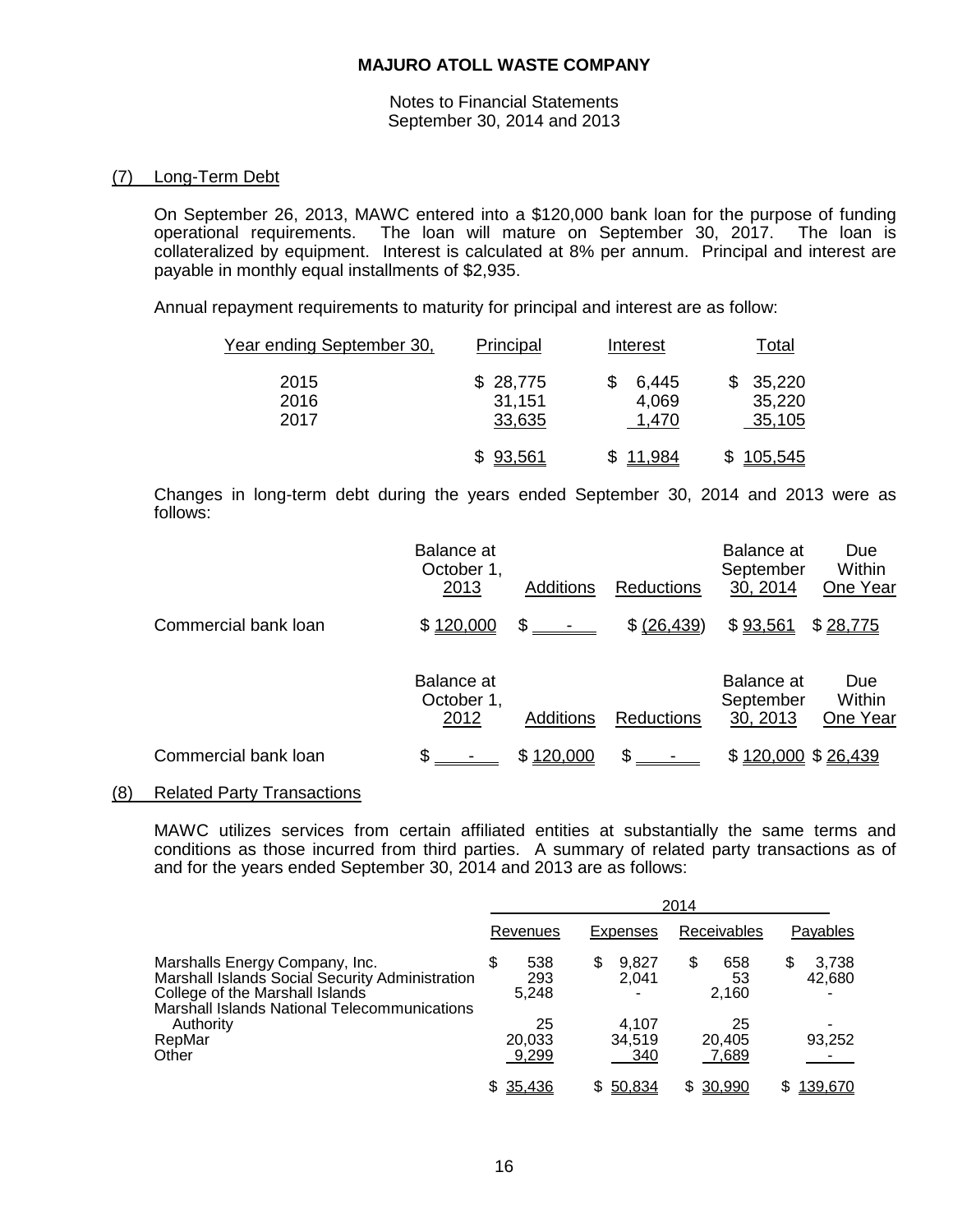Notes to Financial Statements September 30, 2014 and 2013

## (7) Long-Term Debt

On September 26, 2013, MAWC entered into a \$120,000 bank loan for the purpose of funding operational requirements. The loan will mature on September 30, 2017. The loan is collateralized by equipment. Interest is calculated at 8% per annum. Principal and interest are payable in monthly equal installments of \$2,935.

Annual repayment requirements to maturity for principal and interest are as follow:

| Year ending September 30, | Principal                    | Interest                | Total                      |
|---------------------------|------------------------------|-------------------------|----------------------------|
| 2015<br>2016<br>2017      | \$28,775<br>31,151<br>33,635 | 6,445<br>4,069<br>1,470 | 35,220<br>35,220<br>35,105 |
|                           | 93,561                       | 11,984                  | \$105,545                  |

Changes in long-term debt during the years ended September 30, 2014 and 2013 were as follows:

|                      | Balance at<br>October 1,<br>2013 | Additions | <b>Reductions</b> | Balance at<br>September<br>30, 2014 | <b>Due</b><br>Within<br>One Year |
|----------------------|----------------------------------|-----------|-------------------|-------------------------------------|----------------------------------|
| Commercial bank loan | \$120,000                        | \$        | \$ (26, 439)      | \$93,561                            | \$28,775                         |
|                      | Balance at<br>October 1,<br>2012 | Additions | <b>Reductions</b> | Balance at<br>September<br>30, 2013 | Due<br>Within<br>One Year        |
| Commercial bank loan |                                  | \$120,000 | £.                | \$120,000 \$26,439                  |                                  |

#### (8) Related Party Transactions

MAWC utilizes services from certain affiliated entities at substantially the same terms and conditions as those incurred from third parties. A summary of related party transactions as of and for the years ended September 30, 2014 and 2013 are as follows:

|                                                                                                                                                                      | 2014                       |                        |                         |                      |  |  |
|----------------------------------------------------------------------------------------------------------------------------------------------------------------------|----------------------------|------------------------|-------------------------|----------------------|--|--|
|                                                                                                                                                                      | Revenues                   | Expenses               | Receivables             | <b>Payables</b>      |  |  |
| Marshalls Energy Company, Inc.<br>Marshall Islands Social Security Administration<br>College of the Marshall Islands<br>Marshall Islands National Telecommunications | 538<br>\$.<br>293<br>5,248 | 9.827<br>S<br>2.041    | 658<br>S<br>53<br>2,160 | 3,738<br>S<br>42,680 |  |  |
| Authority<br>RepMar<br>Other                                                                                                                                         | 25<br>20,033<br>9,299      | 4.107<br>34,519<br>340 | 25<br>20,405<br>7.689   | 93,252               |  |  |
|                                                                                                                                                                      | 35,436<br>S.               | 50,834                 | 30,990                  | 139,670              |  |  |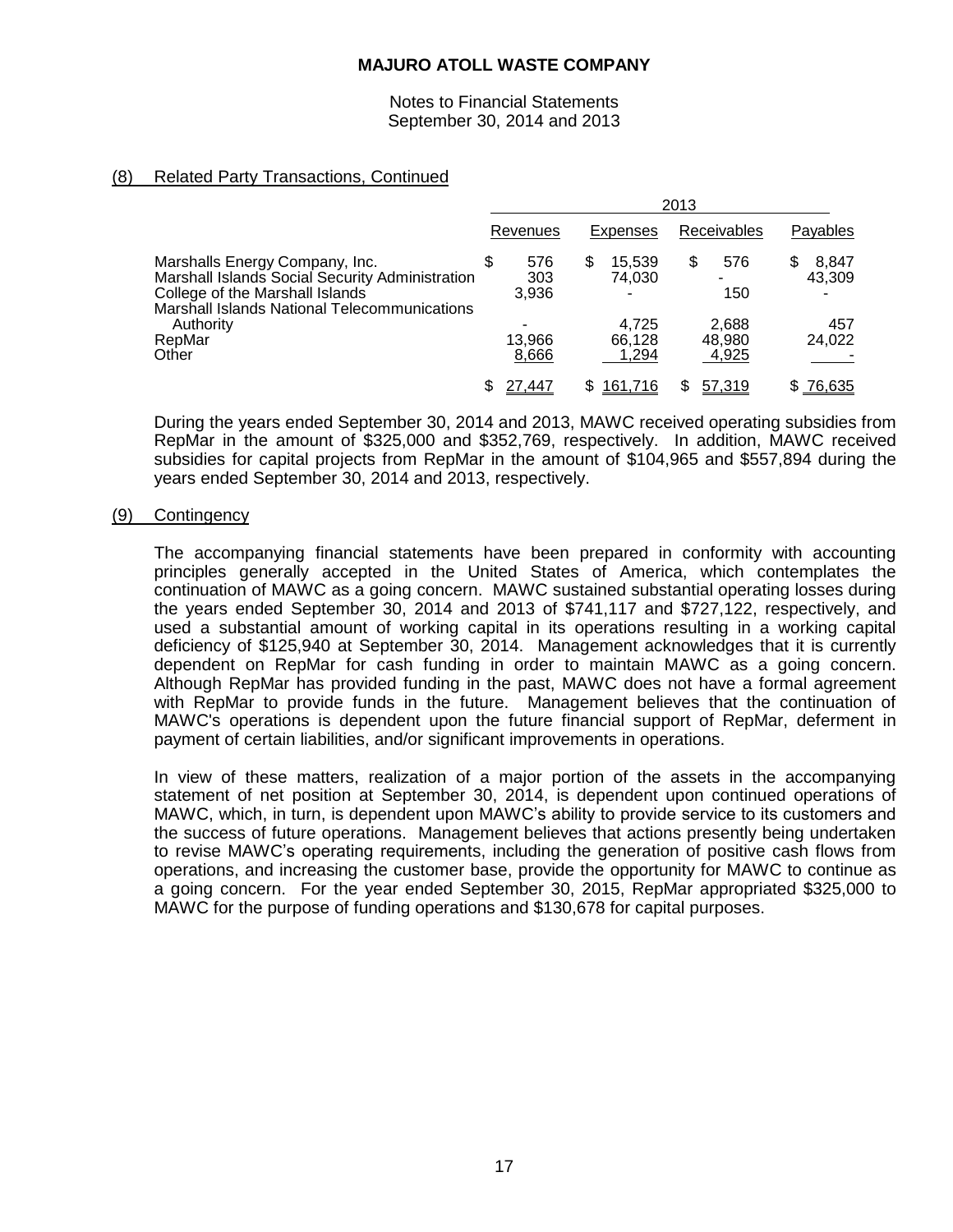Notes to Financial Statements September 30, 2014 and 2013

# (8) Related Party Transactions, Continued

|                                                                                                                                                                                                             | 2013     |                     |                 |                          |             |                          |                       |  |
|-------------------------------------------------------------------------------------------------------------------------------------------------------------------------------------------------------------|----------|---------------------|-----------------|--------------------------|-------------|--------------------------|-----------------------|--|
|                                                                                                                                                                                                             | Revenues |                     | <b>Expenses</b> |                          | Receivables |                          | Payables              |  |
| Marshalls Energy Company, Inc.<br>Marshall Islands Social Security Administration<br>College of the Marshall Islands<br><b>Marshall Islands National Telecommunications</b><br>Authority<br>RepMar<br>Other |          | 576<br>303<br>3.936 | \$              | 15.539<br>74.030<br>-    | \$          | 576<br>150               | \$<br>8,847<br>43,309 |  |
|                                                                                                                                                                                                             |          | 13,966<br>8,666     |                 | 4.725<br>66.128<br>1,294 |             | 2,688<br>48,980<br>4,925 | 457<br>24,022         |  |
|                                                                                                                                                                                                             |          | 27,447              | S               | 161,716                  | S           | 57,319                   | \$76,635              |  |

During the years ended September 30, 2014 and 2013, MAWC received operating subsidies from RepMar in the amount of \$325,000 and \$352,769, respectively. In addition, MAWC received subsidies for capital projects from RepMar in the amount of \$104,965 and \$557,894 during the years ended September 30, 2014 and 2013, respectively.

#### (9) Contingency

The accompanying financial statements have been prepared in conformity with accounting principles generally accepted in the United States of America, which contemplates the continuation of MAWC as a going concern. MAWC sustained substantial operating losses during the years ended September 30, 2014 and 2013 of \$741,117 and \$727,122, respectively, and used a substantial amount of working capital in its operations resulting in a working capital deficiency of \$125,940 at September 30, 2014. Management acknowledges that it is currently dependent on RepMar for cash funding in order to maintain MAWC as a going concern. Although RepMar has provided funding in the past, MAWC does not have a formal agreement with RepMar to provide funds in the future. Management believes that the continuation of MAWC's operations is dependent upon the future financial support of RepMar, deferment in payment of certain liabilities, and/or significant improvements in operations.

In view of these matters, realization of a major portion of the assets in the accompanying statement of net position at September 30, 2014, is dependent upon continued operations of MAWC, which, in turn, is dependent upon MAWC's ability to provide service to its customers and the success of future operations. Management believes that actions presently being undertaken to revise MAWC's operating requirements, including the generation of positive cash flows from operations, and increasing the customer base, provide the opportunity for MAWC to continue as a going concern. For the year ended September 30, 2015, RepMar appropriated \$325,000 to MAWC for the purpose of funding operations and \$130,678 for capital purposes.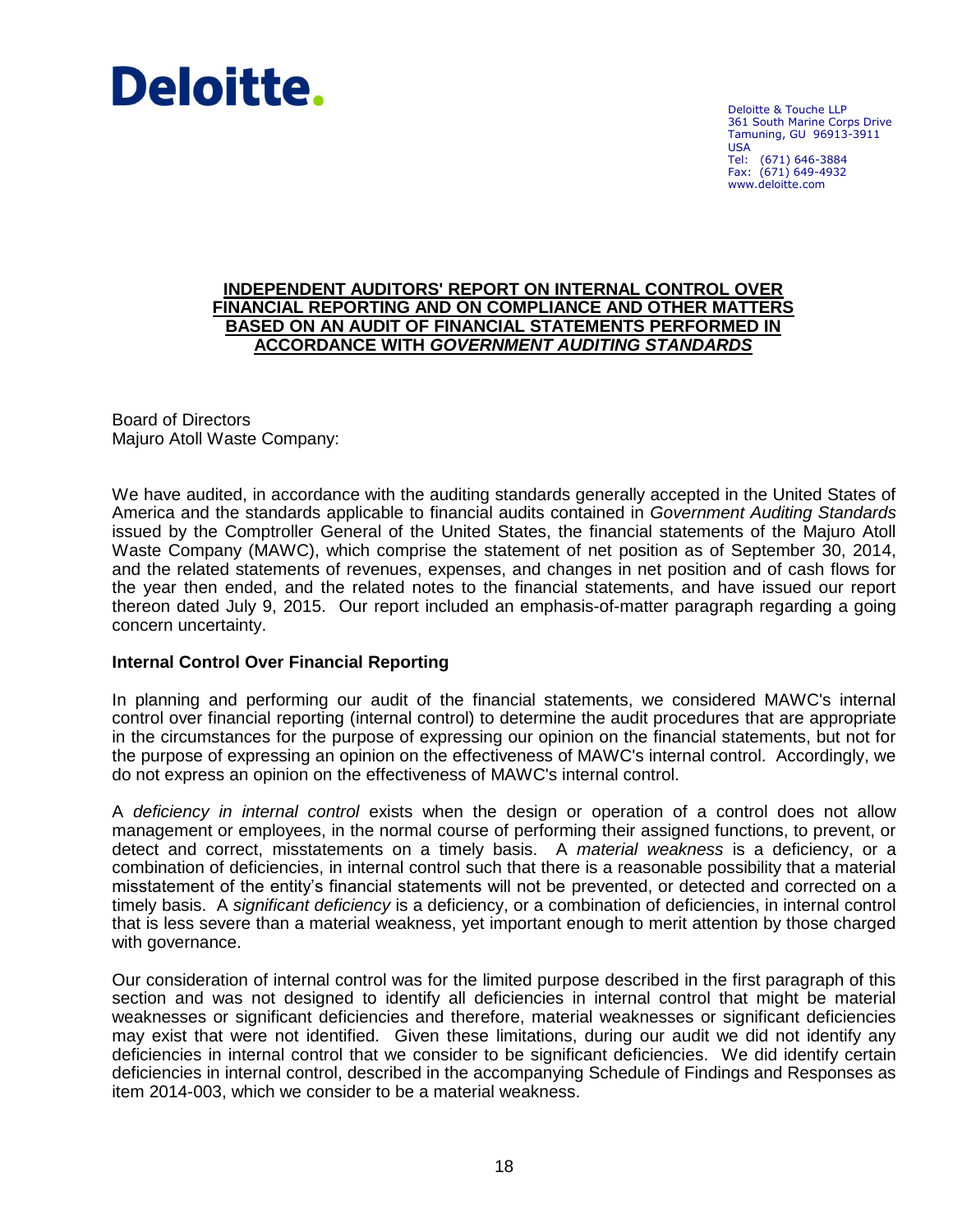

Deloitte & Touche LLP 361 South Marine Corps Drive Tamuning, GU 96913-3911 USA Tel: (671) 646-3884 Fax: (671) 649-4932 www.deloitte.com

### **INDEPENDENT AUDITORS' REPORT ON INTERNAL CONTROL OVER FINANCIAL REPORTING AND ON COMPLIANCE AND OTHER MATTERS BASED ON AN AUDIT OF FINANCIAL STATEMENTS PERFORMED IN ACCORDANCE WITH** *GOVERNMENT AUDITING STANDARDS*

Board of Directors Majuro Atoll Waste Company:

We have audited, in accordance with the auditing standards generally accepted in the United States of America and the standards applicable to financial audits contained in *Government Auditing Standards* issued by the Comptroller General of the United States, the financial statements of the Majuro Atoll Waste Company (MAWC), which comprise the statement of net position as of September 30, 2014, and the related statements of revenues, expenses, and changes in net position and of cash flows for the year then ended, and the related notes to the financial statements, and have issued our report thereon dated July 9, 2015. Our report included an emphasis-of-matter paragraph regarding a going concern uncertainty.

## **Internal Control Over Financial Reporting**

In planning and performing our audit of the financial statements, we considered MAWC's internal control over financial reporting (internal control) to determine the audit procedures that are appropriate in the circumstances for the purpose of expressing our opinion on the financial statements, but not for the purpose of expressing an opinion on the effectiveness of MAWC's internal control. Accordingly, we do not express an opinion on the effectiveness of MAWC's internal control.

A *deficiency in internal control* exists when the design or operation of a control does not allow management or employees, in the normal course of performing their assigned functions, to prevent, or detect and correct, misstatements on a timely basis. A *material weakness* is a deficiency, or a combination of deficiencies, in internal control such that there is a reasonable possibility that a material misstatement of the entity's financial statements will not be prevented, or detected and corrected on a timely basis. A *significant deficiency* is a deficiency, or a combination of deficiencies, in internal control that is less severe than a material weakness, yet important enough to merit attention by those charged with governance.

Our consideration of internal control was for the limited purpose described in the first paragraph of this section and was not designed to identify all deficiencies in internal control that might be material weaknesses or significant deficiencies and therefore, material weaknesses or significant deficiencies may exist that were not identified. Given these limitations, during our audit we did not identify any deficiencies in internal control that we consider to be significant deficiencies. We did identify certain deficiencies in internal control, described in the accompanying Schedule of Findings and Responses as item 2014-003, which we consider to be a material weakness.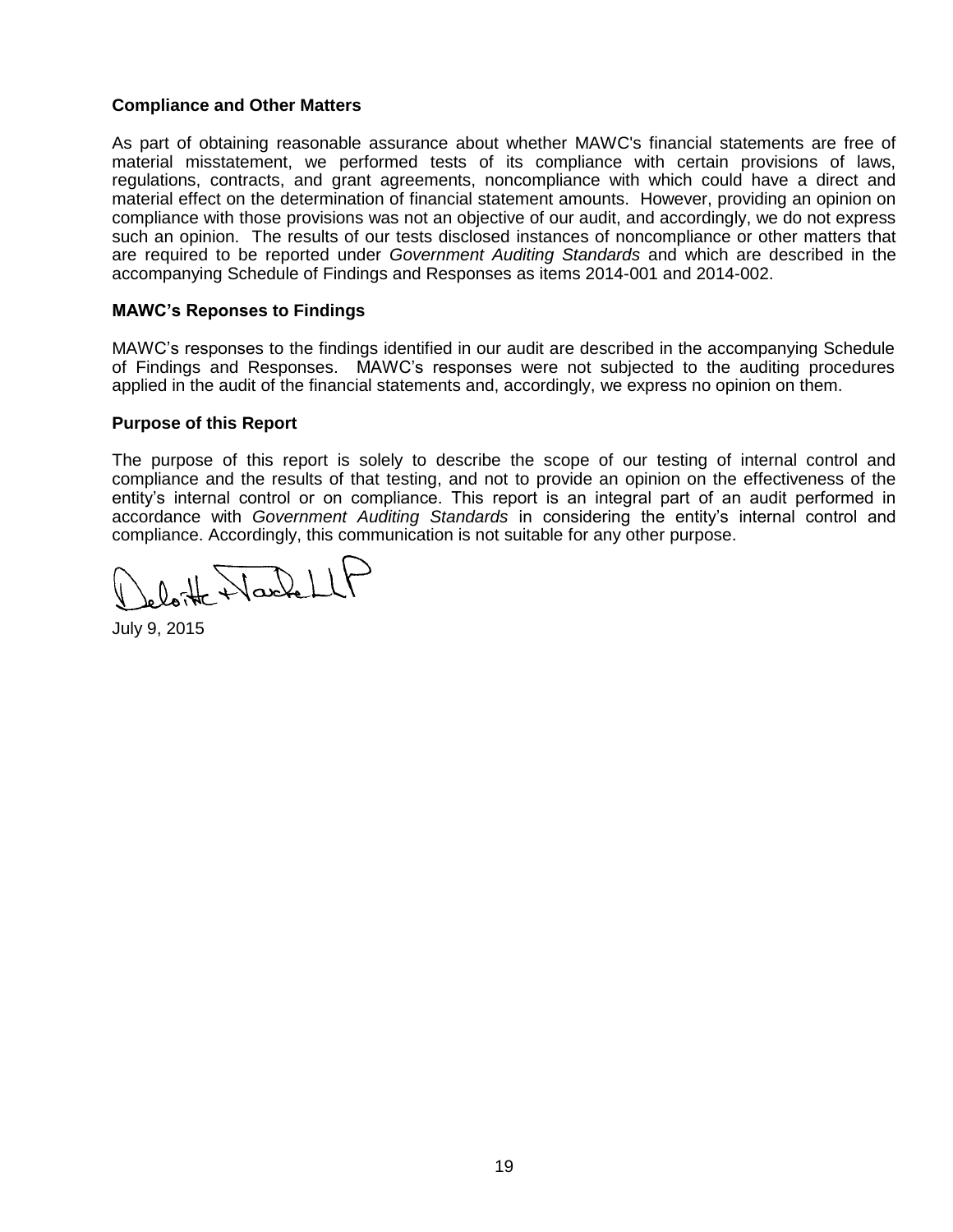# **Compliance and Other Matters**

As part of obtaining reasonable assurance about whether MAWC's financial statements are free of material misstatement, we performed tests of its compliance with certain provisions of laws, regulations, contracts, and grant agreements, noncompliance with which could have a direct and material effect on the determination of financial statement amounts. However, providing an opinion on compliance with those provisions was not an objective of our audit, and accordingly, we do not express such an opinion. The results of our tests disclosed instances of noncompliance or other matters that are required to be reported under *Government Auditing Standards* and which are described in the accompanying Schedule of Findings and Responses as items 2014-001 and 2014-002.

## **MAWC's Reponses to Findings**

MAWC's responses to the findings identified in our audit are described in the accompanying Schedule of Findings and Responses. MAWC's responses were not subjected to the auditing procedures applied in the audit of the financial statements and, accordingly, we express no opinion on them.

## **Purpose of this Report**

The purpose of this report is solely to describe the scope of our testing of internal control and compliance and the results of that testing, and not to provide an opinion on the effectiveness of the entity's internal control or on compliance. This report is an integral part of an audit performed in accordance with *Government Auditing Standards* in considering the entity's internal control and compliance. Accordingly, this communication is not suitable for any other purpose.

 $0$  the Nackell

July 9, 2015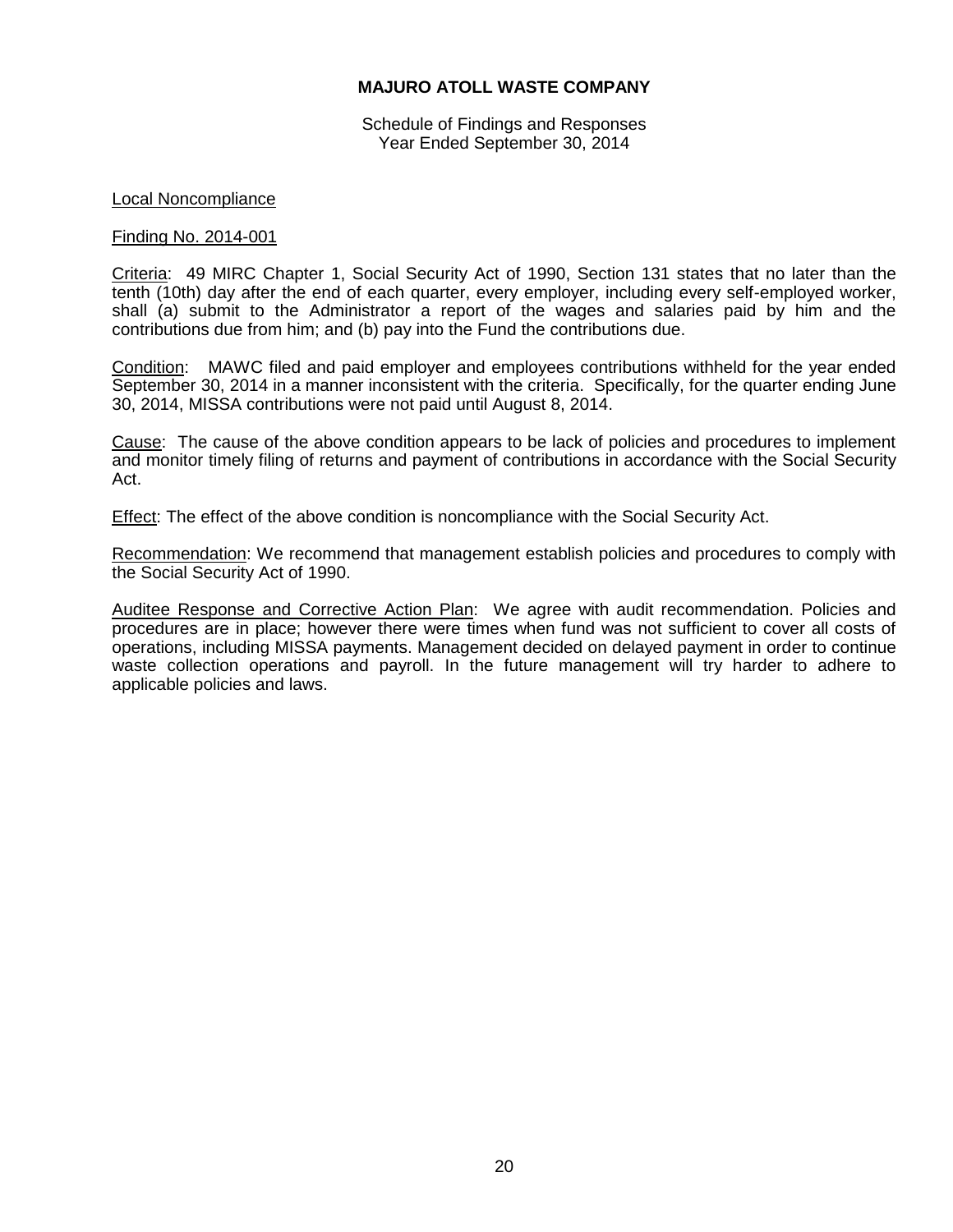Schedule of Findings and Responses Year Ended September 30, 2014

### Local Noncompliance

#### Finding No. 2014-001

Criteria: 49 MIRC Chapter 1, Social Security Act of 1990, Section 131 states that no later than the tenth (10th) day after the end of each quarter, every employer, including every self-employed worker, shall (a) submit to the Administrator a report of the wages and salaries paid by him and the contributions due from him; and (b) pay into the Fund the contributions due.

Condition: MAWC filed and paid employer and employees contributions withheld for the year ended September 30, 2014 in a manner inconsistent with the criteria. Specifically, for the quarter ending June 30, 2014, MISSA contributions were not paid until August 8, 2014.

Cause: The cause of the above condition appears to be lack of policies and procedures to implement and monitor timely filing of returns and payment of contributions in accordance with the Social Security Act.

**Effect:** The effect of the above condition is noncompliance with the Social Security Act.

Recommendation: We recommend that management establish policies and procedures to comply with the Social Security Act of 1990.

Auditee Response and Corrective Action Plan: We agree with audit recommendation. Policies and procedures are in place; however there were times when fund was not sufficient to cover all costs of operations, including MISSA payments. Management decided on delayed payment in order to continue waste collection operations and payroll. In the future management will try harder to adhere to applicable policies and laws.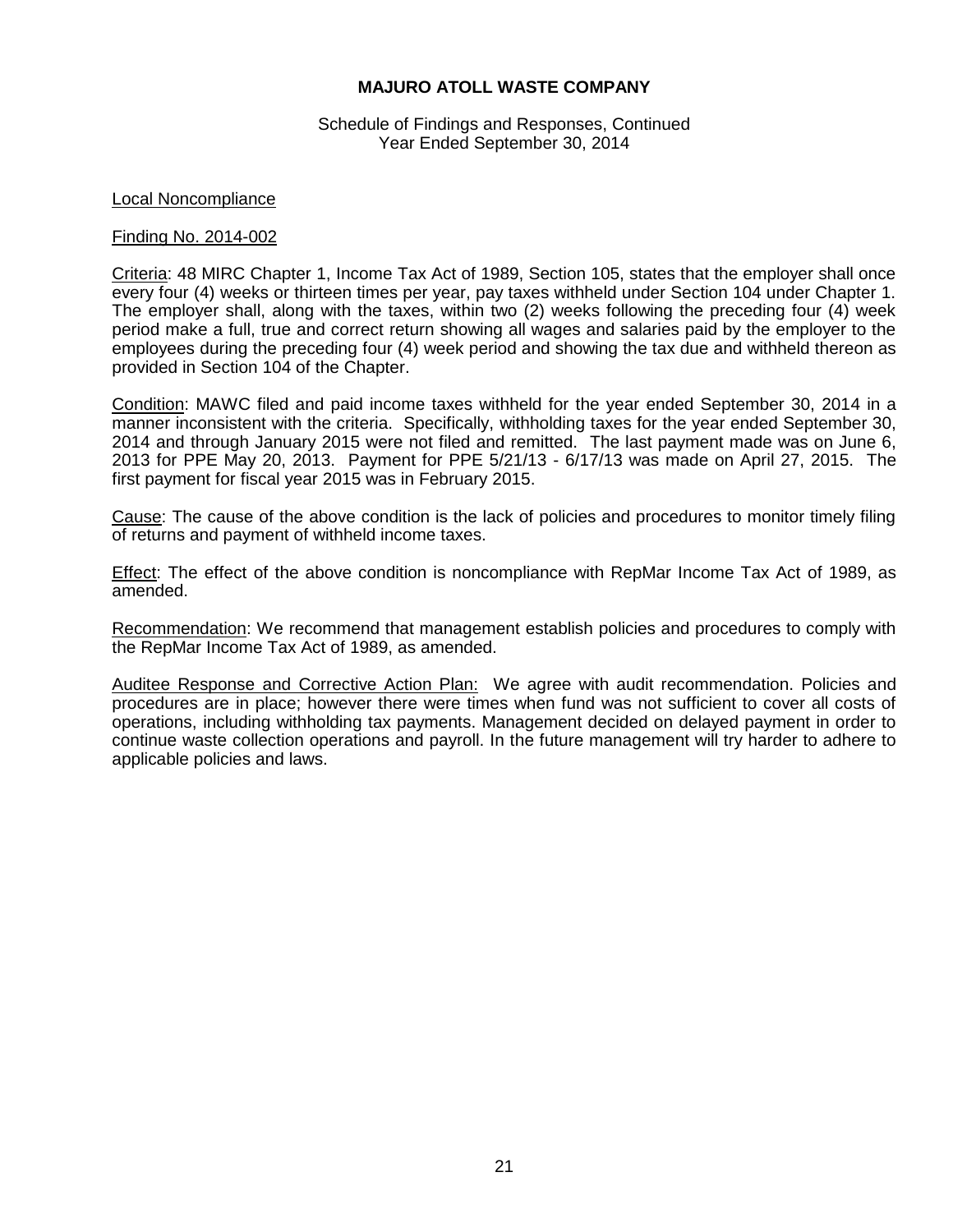Schedule of Findings and Responses, Continued Year Ended September 30, 2014

### Local Noncompliance

#### Finding No. 2014-002

Criteria: 48 MIRC Chapter 1, Income Tax Act of 1989, Section 105, states that the employer shall once every four (4) weeks or thirteen times per year, pay taxes withheld under Section 104 under Chapter 1. The employer shall, along with the taxes, within two (2) weeks following the preceding four (4) week period make a full, true and correct return showing all wages and salaries paid by the employer to the employees during the preceding four (4) week period and showing the tax due and withheld thereon as provided in Section 104 of the Chapter.

Condition: MAWC filed and paid income taxes withheld for the year ended September 30, 2014 in a manner inconsistent with the criteria. Specifically, withholding taxes for the year ended September 30, 2014 and through January 2015 were not filed and remitted. The last payment made was on June 6, 2013 for PPE May 20, 2013. Payment for PPE 5/21/13 - 6/17/13 was made on April 27, 2015. The first payment for fiscal year 2015 was in February 2015.

Cause: The cause of the above condition is the lack of policies and procedures to monitor timely filing of returns and payment of withheld income taxes.

Effect: The effect of the above condition is noncompliance with RepMar Income Tax Act of 1989, as amended.

Recommendation: We recommend that management establish policies and procedures to comply with the RepMar Income Tax Act of 1989, as amended.

Auditee Response and Corrective Action Plan: We agree with audit recommendation. Policies and procedures are in place; however there were times when fund was not sufficient to cover all costs of operations, including withholding tax payments. Management decided on delayed payment in order to continue waste collection operations and payroll. In the future management will try harder to adhere to applicable policies and laws.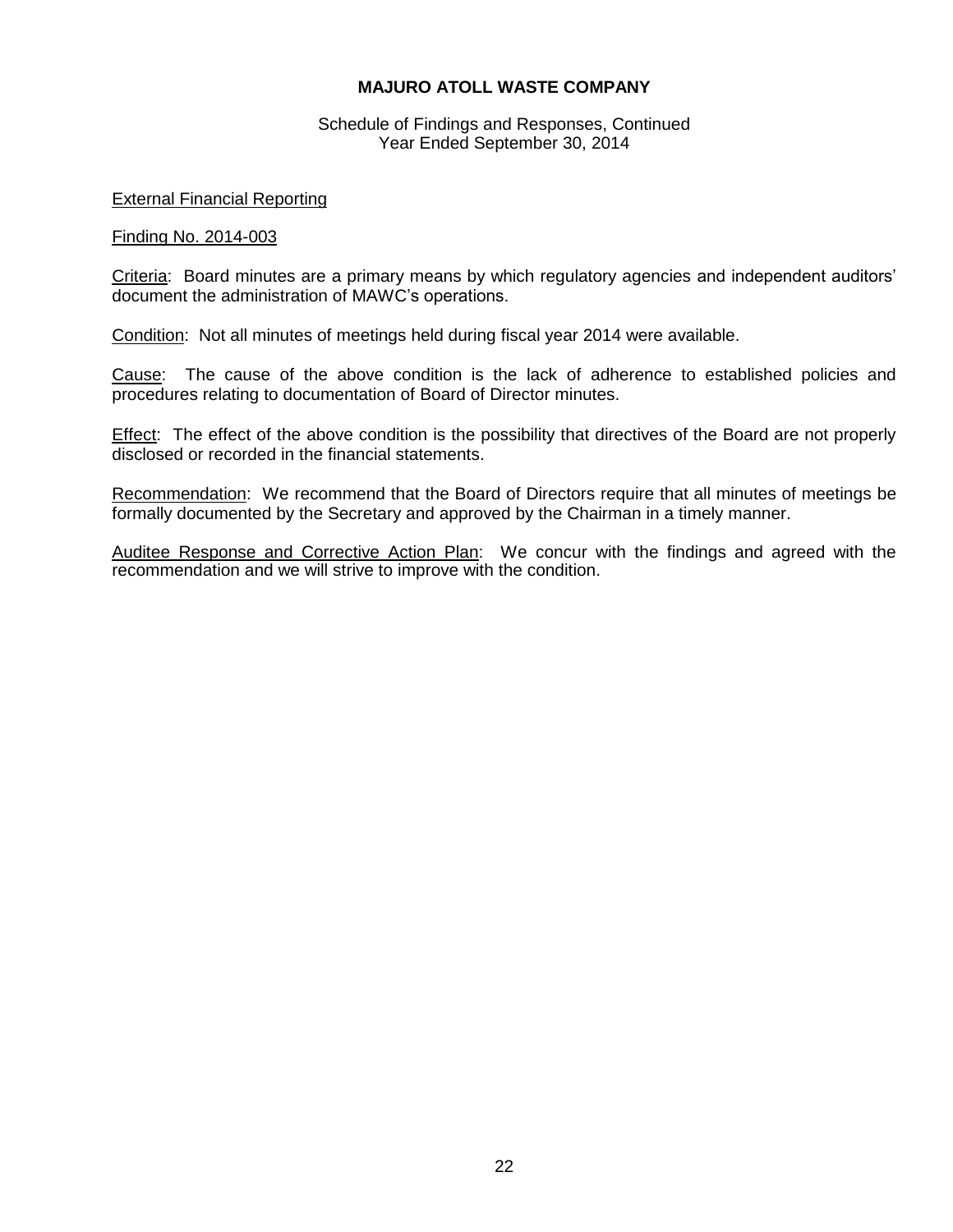Schedule of Findings and Responses, Continued Year Ended September 30, 2014

## External Financial Reporting

#### Finding No. 2014-003

Criteria: Board minutes are a primary means by which regulatory agencies and independent auditors' document the administration of MAWC's operations.

Condition: Not all minutes of meetings held during fiscal year 2014 were available.

Cause: The cause of the above condition is the lack of adherence to established policies and procedures relating to documentation of Board of Director minutes.

Effect: The effect of the above condition is the possibility that directives of the Board are not properly disclosed or recorded in the financial statements.

Recommendation: We recommend that the Board of Directors require that all minutes of meetings be formally documented by the Secretary and approved by the Chairman in a timely manner.

Auditee Response and Corrective Action Plan: We concur with the findings and agreed with the recommendation and we will strive to improve with the condition.